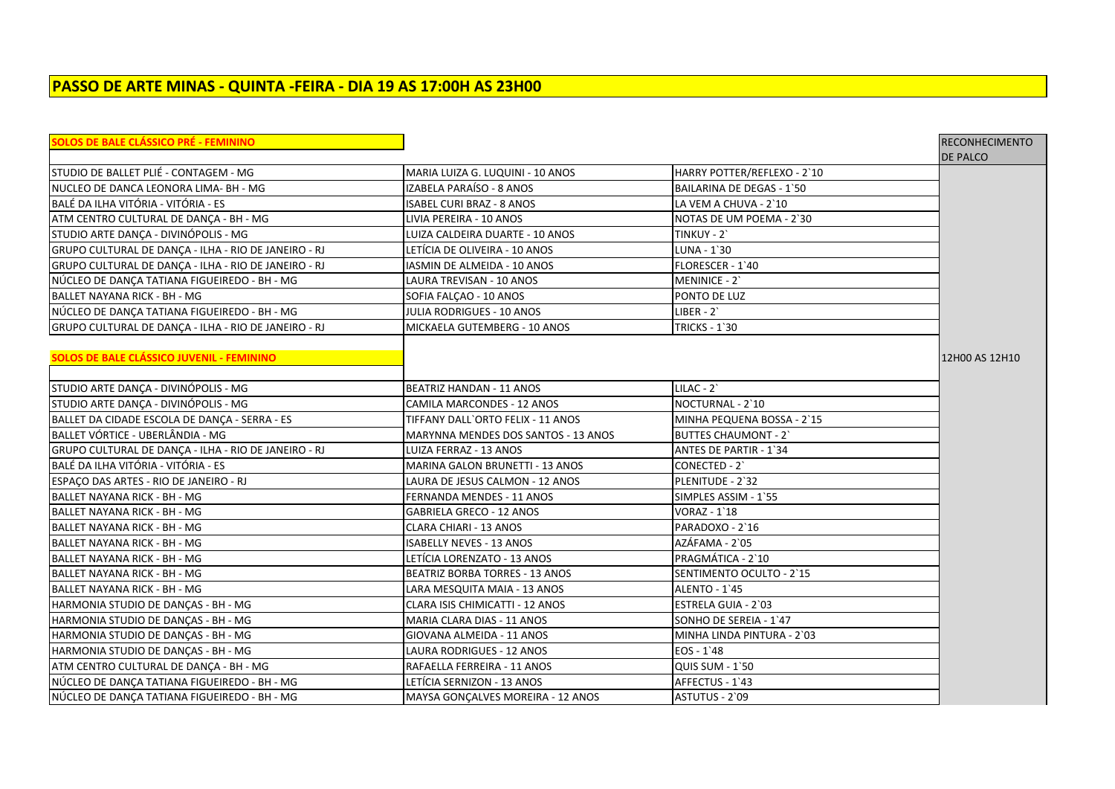# **PASSO DE ARTE MINAS - QUINTA -FEIRA - DIA 19 AS 17:00H AS 23H00**

| SOLOS DE BALE CLÁSSICO PRÉ - FEMININO                |                                     |                                  | <b>RECONHECIMENTO</b> |
|------------------------------------------------------|-------------------------------------|----------------------------------|-----------------------|
|                                                      |                                     |                                  | <b>DE PALCO</b>       |
| STUDIO DE BALLET PLIÉ - CONTAGEM - MG                | MARIA LUIZA G. LUQUINI - 10 ANOS    | HARRY POTTER/REFLEXO - 2`10      |                       |
| NUCLEO DE DANCA LEONORA LIMA- BH - MG                | IZABELA PARAÍSO - 8 ANOS            | <b>BAILARINA DE DEGAS - 1'50</b> |                       |
| BALÉ DA ILHA VITÓRIA - VITÓRIA - ES                  | ISABEL CURI BRAZ - 8 ANOS           | LA VEM A CHUVA - 2`10            |                       |
| ATM CENTRO CULTURAL DE DANCA - BH - MG               | LIVIA PEREIRA - 10 ANOS             | NOTAS DE UM POEMA - 2`30         |                       |
| STUDIO ARTE DANÇA - DIVINÓPOLIS - MG                 | LUIZA CALDEIRA DUARTE - 10 ANOS     | TINKUY - 2`                      |                       |
| GRUPO CULTURAL DE DANÇA - ILHA - RIO DE JANEIRO - RJ | LETÍCIA DE OLIVEIRA - 10 ANOS       | LUNA - 1'30                      |                       |
| GRUPO CULTURAL DE DANÇA - ILHA - RIO DE JANEIRO - RJ | IASMIN DE ALMEIDA - 10 ANOS         | FLORESCER - 1'40                 |                       |
| NÚCLEO DE DANÇA TATIANA FIGUEIREDO - BH - MG         | LAURA TREVISAN - 10 ANOS            | MENINICE - 2                     |                       |
| BALLET NAYANA RICK - BH - MG                         | SOFIA FALÇAO - 10 ANOS              | PONTO DE LUZ                     |                       |
| NÚCLEO DE DANÇA TATIANA FIGUEIREDO - BH - MG         | JULIA RODRIGUES - 10 ANOS           | $LIBER - 2$ `                    |                       |
| GRUPO CULTURAL DE DANÇA - ILHA - RIO DE JANEIRO - RJ | MICKAELA GUTEMBERG - 10 ANOS        | <b>TRICKS - 1'30</b>             |                       |
|                                                      |                                     |                                  |                       |
| SOLOS DE BALE CLÁSSICO JUVENIL - FEMININO            |                                     |                                  | 12H00 AS 12H10        |
|                                                      |                                     |                                  |                       |
| STUDIO ARTE DANÇA - DIVINÓPOLIS - MG                 | <b>BEATRIZ HANDAN - 11 ANOS</b>     | $LILAC - 2'$                     |                       |
| STUDIO ARTE DANÇA - DIVINÓPOLIS - MG                 | CAMILA MARCONDES - 12 ANOS          | NOCTURNAL - 2`10                 |                       |
| BALLET DA CIDADE ESCOLA DE DANCA - SERRA - ES        | TIFFANY DALL`ORTO FELIX - 11 ANOS   | MINHA PEQUENA BOSSA - 2`15       |                       |
| lBALLET VÓRTICE - UBERLÂNDIA - MG                    | MARYNNA MENDES DOS SANTOS - 13 ANOS | <b>BUTTES CHAUMONT - 2'</b>      |                       |
| GRUPO CULTURAL DE DANÇA - ILHA - RIO DE JANEIRO - RJ | LUIZA FERRAZ - 13 ANOS              | <b>ANTES DE PARTIR - 1'34</b>    |                       |
| BALÉ DA ILHA VITÓRIA - VITÓRIA - ES                  | MARINA GALON BRUNETTI - 13 ANOS     | CONECTED - 2                     |                       |
| ESPAÇO DAS ARTES - RIO DE JANEIRO - RJ               | LAURA DE JESUS CALMON - 12 ANOS     | PLENITUDE - 2`32                 |                       |
| BALLET NAYANA RICK - BH - MG                         | FERNANDA MENDES - 11 ANOS           | SIMPLES ASSIM - 1'55             |                       |
| <b>BALLET NAYANA RICK - BH - MG</b>                  | <b>GABRIELA GRECO - 12 ANOS</b>     | <b>VORAZ - 1`18</b>              |                       |
| BALLET NAYANA RICK - BH - MG                         | CLARA CHIARI - 13 ANOS              | PARADOXO - 2`16                  |                       |
| BALLET NAYANA RICK - BH - MG                         | ISABELLY NEVES - 13 ANOS            | AZÁFAMA - 2`05                   |                       |
| BALLET NAYANA RICK - BH - MG                         | LETICIA LORENZATO - 13 ANOS         | PRAGMÁTICA - 2`10                |                       |
| BALLET NAYANA RICK - BH - MG                         | BEATRIZ BORBA TORRES - 13 ANOS      | SENTIMENTO OCULTO - 2`15         |                       |
| BALLET NAYANA RICK - BH - MG                         | LARA MESQUITA MAIA - 13 ANOS        | ALENTO - 1'45                    |                       |
| HARMONIA STUDIO DE DANÇAS - BH - MG                  | CLARA ISIS CHIMICATTI - 12 ANOS     | ESTRELA GUIA - 2`03              |                       |
| HARMONIA STUDIO DE DANÇAS - BH - MG                  | MARIA CLARA DIAS - 11 ANOS          | SONHO DE SEREIA - 1'47           |                       |
| HARMONIA STUDIO DE DANÇAS - BH - MG                  | GIOVANA ALMEIDA - 11 ANOS           | MINHA LINDA PINTURA - 2`03       |                       |
| HARMONIA STUDIO DE DANÇAS - BH - MG                  | LAURA RODRIGUES - 12 ANOS           | $EOS - 1'48$                     |                       |
| ATM CENTRO CULTURAL DE DANÇA - BH - MG               | RAFAELLA FERREIRA - 11 ANOS         | <b>QUIS SUM - 1'50</b>           |                       |
| NÚCLEO DE DANÇA TATIANA FIGUEIREDO - BH - MG         | LETÍCIA SERNIZON - 13 ANOS          | AFFECTUS - 1'43                  |                       |
| NÚCLEO DE DANCA TATIANA FIGUEIREDO - BH - MG         | MAYSA GONCALVES MOREIRA - 12 ANOS   | ASTUTUS - 2`09                   |                       |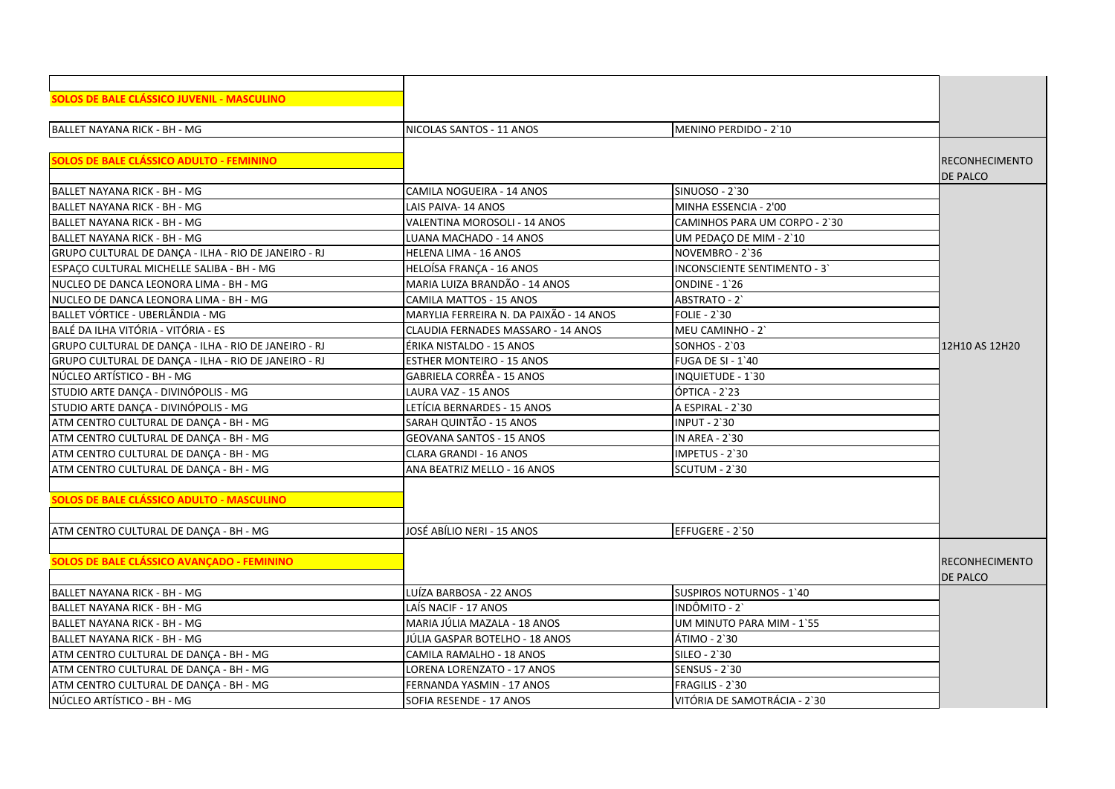| SOLOS DE BALE CLÁSSICO JUVENIL - MASCULINO           |                                         |                               |                       |
|------------------------------------------------------|-----------------------------------------|-------------------------------|-----------------------|
|                                                      |                                         |                               |                       |
| BALLET NAYANA RICK - BH - MG                         | NICOLAS SANTOS - 11 ANOS                | MENINO PERDIDO - 2'10         |                       |
|                                                      |                                         |                               |                       |
| <b>SOLOS DE BALE CLÁSSICO ADULTO - FEMININO</b>      |                                         |                               | <b>RECONHECIMENTO</b> |
|                                                      |                                         |                               | DE PALCO              |
| BALLET NAYANA RICK - BH - MG                         | CAMILA NOGUEIRA - 14 ANOS               | SINUOSO - 2`30                |                       |
| lBALLET NAYANA RICK - BH - MG                        | LAIS PAIVA-14 ANOS                      | MINHA ESSENCIA - 2'00         |                       |
| BALLET NAYANA RICK - BH - MG                         | VALENTINA MOROSOLI - 14 ANOS            | CAMINHOS PARA UM CORPO - 2`30 |                       |
| BALLET NAYANA RICK - BH - MG                         | LUANA MACHADO - 14 ANOS                 | UM PEDAÇO DE MIM - 2'10       |                       |
| GRUPO CULTURAL DE DANÇA - ILHA - RIO DE JANEIRO - RJ | HELENA LIMA - 16 ANOS                   | NOVEMBRO - 2'36               |                       |
| ESPACO CULTURAL MICHELLE SALIBA - BH - MG            | HELOÍSA FRANCA - 16 ANOS                | INCONSCIENTE SENTIMENTO - 3'  |                       |
| NUCLEO DE DANCA LEONORA LIMA - BH - MG               | MARIA LUIZA BRANDÃO - 14 ANOS           | ONDINE - 1'26                 |                       |
| NUCLEO DE DANCA LEONORA LIMA - BH - MG               | <b>CAMILA MATTOS - 15 ANOS</b>          | ABSTRATO - 2                  |                       |
| BALLET VÓRTICE - UBERLÂNDIA - MG                     | MARYLIA FERREIRA N. DA PAIXÃO - 14 ANOS | <b>FOLIE - 2'30</b>           |                       |
| BALÉ DA ILHA VITÓRIA - VITÓRIA - ES                  | CLAUDIA FERNADES MASSARO - 14 ANOS      | MEU CAMINHO - 2               |                       |
| GRUPO CULTURAL DE DANÇA - ILHA - RIO DE JANEIRO - RJ | ÉRIKA NISTALDO - 15 ANOS                | <b>SONHOS - 2`03</b>          | 12H10 AS 12H20        |
| GRUPO CULTURAL DE DANCA - ILHA - RIO DE JANEIRO - RJ | <b>ESTHER MONTEIRO - 15 ANOS</b>        | <b>FUGA DE SI - 1'40</b>      |                       |
| NÚCLEO ARTÍSTICO - BH - MG                           | GABRIELA CORRÊA - 15 ANOS               | <b>INQUIETUDE - 1'30</b>      |                       |
| STUDIO ARTE DANÇA - DIVINÓPOLIS - MG                 | LAURA VAZ - 15 ANOS                     | ÓPTICA - 2`23                 |                       |
| STUDIO ARTE DANÇA - DIVINÓPOLIS - MG                 | LETÍCIA BERNARDES - 15 ANOS             | A ESPIRAL - 2`30              |                       |
| ATM CENTRO CULTURAL DE DANÇA - BH - MG               | SARAH QUINTÃO - 15 ANOS                 | <b>INPUT - 2'30</b>           |                       |
| ATM CENTRO CULTURAL DE DANÇA - BH - MG               | <b>GEOVANA SANTOS - 15 ANOS</b>         | <b>IN AREA - 2`30</b>         |                       |
| ATM CENTRO CULTURAL DE DANCA - BH - MG               | CLARA GRANDI - 16 ANOS                  | IMPETUS - 2`30                |                       |
| ATM CENTRO CULTURAL DE DANCA - BH - MG               | ANA BEATRIZ MELLO - 16 ANOS             | SCUTUM - 2`30                 |                       |
|                                                      |                                         |                               |                       |
| SOLOS DE BALE CLÁSSICO ADULTO - MASCULINO            |                                         |                               |                       |
|                                                      |                                         |                               |                       |
| ATM CENTRO CULTURAL DE DANÇA - BH - MG               | JOSÉ ABÍLIO NERI - 15 ANOS              | EFFUGERE - 2`50               |                       |
|                                                      |                                         |                               |                       |
| SOLOS DE BALE CLÁSSICO AVANÇADO - FEMININO           |                                         |                               | RECONHECIMENTO        |
|                                                      |                                         |                               | DE PALCO              |
| BALLET NAYANA RICK - BH - MG                         | LUÍZA BARBOSA - 22 ANOS                 | SUSPIROS NOTURNOS - 1'40      |                       |
| BALLET NAYANA RICK - BH - MG                         | LAÍS NACIF - 17 ANOS                    | INDÔMITO - 2`                 |                       |
| lBALLET NAYANA RICK - BH - MG                        | MARIA JÚLIA MAZALA - 18 ANOS            | UM MINUTO PARA MIM - 1'55     |                       |
| BALLET NAYANA RICK - BH - MG                         | JÚLIA GASPAR BOTELHO - 18 ANOS          | ÁTIMO - 2`30                  |                       |
| ATM CENTRO CULTURAL DE DANÇA - BH - MG               | CAMILA RAMALHO - 18 ANOS                | SILEO - 2`30                  |                       |
| ATM CENTRO CULTURAL DE DANCA - BH - MG               | <b>LORENA LORENZATO - 17 ANOS</b>       | <b>SENSUS - 2'30</b>          |                       |
| ATM CENTRO CULTURAL DE DANCA - BH - MG               | FERNANDA YASMIN - 17 ANOS               | FRAGILIS - 2`30               |                       |
| NÚCLEO ARTÍSTICO - BH - MG                           | SOFIA RESENDE - 17 ANOS                 | VITÓRIA DE SAMOTRÁCIA - 2`30  |                       |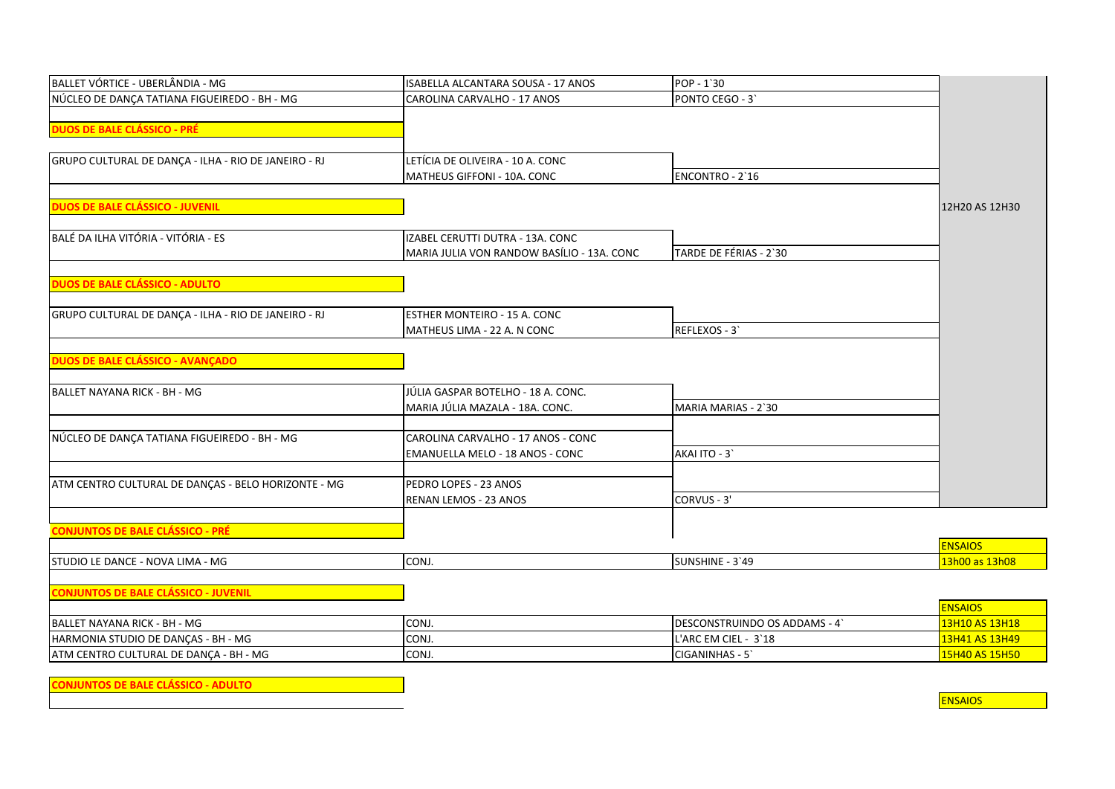| BALLET VÓRTICE - UBERLÂNDIA - MG                     | ISABELLA ALCANTARA SOUSA - 17 ANOS         | POP - 1'30                   |                |
|------------------------------------------------------|--------------------------------------------|------------------------------|----------------|
| NÚCLEO DE DANÇA TATIANA FIGUEIREDO - BH - MG         | CAROLINA CARVALHO - 17 ANOS                | PONTO CEGO - 3               |                |
|                                                      |                                            |                              |                |
| <b>DUOS DE BALE CLÁSSICO - PRÉ</b>                   |                                            |                              |                |
|                                                      |                                            |                              |                |
| GRUPO CULTURAL DE DANÇA - ILHA - RIO DE JANEIRO - RJ | LETÍCIA DE OLIVEIRA - 10 A. CONC           |                              |                |
|                                                      | MATHEUS GIFFONI - 10A. CONC                | ENCONTRO - 2'16              |                |
|                                                      |                                            |                              |                |
| <b>DUOS DE BALE CLÁSSICO - JUVENIL</b>               |                                            |                              | 12H20 AS 12H30 |
|                                                      |                                            |                              |                |
| BALÉ DA ILHA VITÓRIA - VITÓRIA - ES                  | IZABEL CERUTTI DUTRA - 13A. CONC           |                              |                |
|                                                      | MARIA JULIA VON RANDOW BASÍLIO - 13A. CONC | TARDE DE FÉRIAS - 2`30       |                |
|                                                      |                                            |                              |                |
| <b>DUOS DE BALE CLÁSSICO - ADULTO</b>                |                                            |                              |                |
|                                                      |                                            |                              |                |
| GRUPO CULTURAL DE DANÇA - ILHA - RIO DE JANEIRO - RJ | ESTHER MONTEIRO - 15 A. CONC               |                              |                |
|                                                      | MATHEUS LIMA - 22 A. N CONC                | REFLEXOS - 3                 |                |
|                                                      |                                            |                              |                |
| DUOS DE BALE CLÁSSICO - AVANÇADO                     |                                            |                              |                |
| BALLET NAYANA RICK - BH - MG                         | JÚLIA GASPAR BOTELHO - 18 A. CONC.         |                              |                |
|                                                      | MARIA JÚLIA MAZALA - 18A, CONC.            | MARIA MARIAS - 2`30          |                |
|                                                      |                                            |                              |                |
| NÚCLEO DE DANÇA TATIANA FIGUEIREDO - BH - MG         | CAROLINA CARVALHO - 17 ANOS - CONC         |                              |                |
|                                                      | EMANUELLA MELO - 18 ANOS - CONC            | AKAI ITO - 3                 |                |
|                                                      |                                            |                              |                |
| ATM CENTRO CULTURAL DE DANÇAS - BELO HORIZONTE - MG  | PEDRO LOPES - 23 ANOS                      |                              |                |
|                                                      | RENAN LEMOS - 23 ANOS                      | CORVUS - 3'                  |                |
|                                                      |                                            |                              |                |
| <b>CONJUNTOS DE BALE CLÁSSICO - PRÉ</b>              |                                            |                              |                |
|                                                      |                                            |                              | <b>ENSAIOS</b> |
| STUDIO LE DANCE - NOVA LIMA - MG                     | CONJ.                                      | SUNSHINE - 3'49              | 13h00 as 13h08 |
|                                                      |                                            |                              |                |
| <b>CONJUNTOS DE BALE CLÁSSICO - JUVENIL</b>          |                                            |                              |                |
|                                                      |                                            |                              | <b>ENSAIOS</b> |
| BALLET NAYANA RICK - BH - MG                         | CONJ.                                      | DESCONSTRUINDO OS ADDAMS - 4 | 13H10 AS 13H18 |
| HARMONIA STUDIO DE DANÇAS - BH - MG                  | CONJ.                                      | L'ARC EM CIEL - 3'18         | 13H41 AS 13H49 |
| ATM CENTRO CULTURAL DE DANÇA - BH - MG               | CONJ.                                      | CIGANINHAS - 5'              | 15H40 AS 15H50 |
|                                                      |                                            |                              |                |

**CONJUNTOS DE BALE CLÁSSICO - ADULTO**

**ENSAIOS**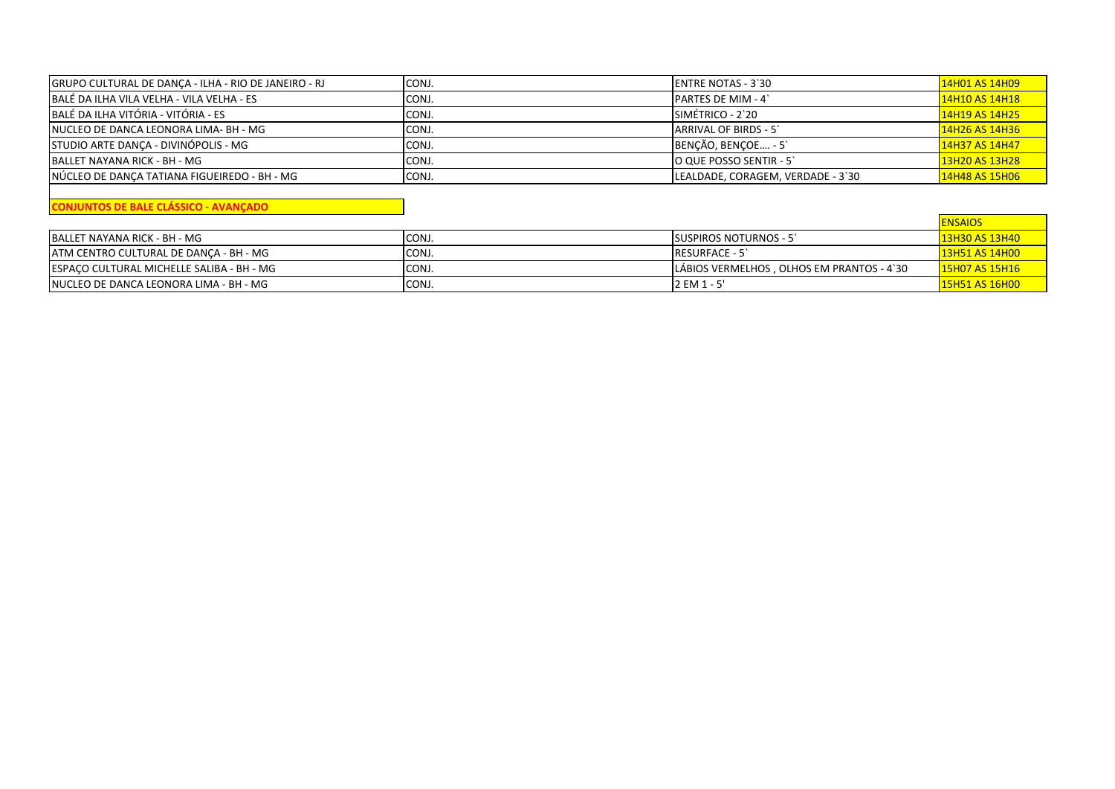| GRUPO CULTURAL DE DANÇA - ILHA - RIO DE JANEIRO - RJ | CONJ. | <b>IENTRE NOTAS - 3'30</b>        | 14H01 AS 14H09 |
|------------------------------------------------------|-------|-----------------------------------|----------------|
| BALÉ DA ILHA VILA VELHA - VILA VELHA - ES            | CONJ. | <b>PARTES DE MIM - 4</b>          | 14H10 AS 14H18 |
| BALÉ DA ILHA VITÓRIA - VITÓRIA - ES                  | CONJ. | SIMÉTRICO - 2`20                  | 14H19 AS 14H25 |
| INUCLEO DE DANCA LEONORA LIMA- BH - MG               | CONJ. | <b>ARRIVAL OF BIRDS - 5'</b>      | 14H26 AS 14H36 |
| STUDIO ARTE DANCA - DIVINÓPOLIS - MG                 | CONJ. | BENÇÃO, BENÇOE - 5                | 14H37 AS 14H47 |
| IBALLET NAYANA RICK - BH - MG                        | CONJ. | O QUE POSSO SENTIR - 5            | 13H20 AS 13H28 |
| NÚCLEO DE DANÇA TATIANA FIGUEIREDO - BH - MG         | CONJ. | LEALDADE, CORAGEM, VERDADE - 3`30 | 14H48 AS 15H06 |

**CONJUNTOS DE BALE CLÁSSICO - AVANÇADO**

|                                           |       |                                            | <b>ENSAIOS</b>        |
|-------------------------------------------|-------|--------------------------------------------|-----------------------|
| BALLET NAYANA RICK - BH - MG              | CONJ. | <b>ISUSPIROS NOTURNOS - 5</b>              | 13H30 AS 13H40        |
| IATM CENTRO CULTURAL DE DANCA - BH - MG   | CONJ. | <b>RESURFACE - 5</b>                       | 13H51 AS 14H00        |
| ESPACO CULTURAL MICHELLE SALIBA - BH - MG | CONJ. | LÁBIOS VERMELHOS , OLHOS EM PRANTOS - 4`30 | <b>15H07 AS 15H16</b> |
| INUCLEO DE DANCA LEONORA LIMA - BH - MG   | CONJ. | 2 EM 1 - 5'                                | 15H51 AS 16H00        |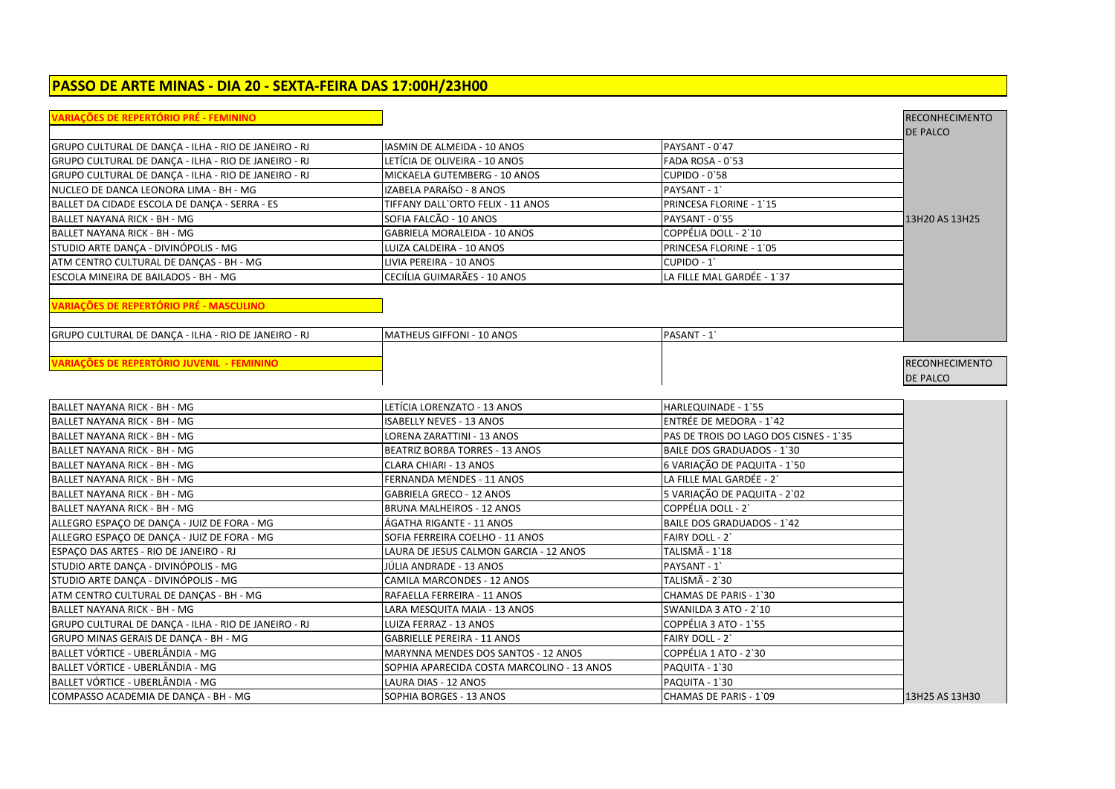## **PASSO DE ARTE MINAS - DIA 20 - SEXTA-FEIRA DAS 17:00H/23H00**

| <b>VARIAÇÕES DE REPERTÓRIO PRÉ - FEMININO</b>        |                                            |                                        | <b>RECONHECIMENTO</b> |
|------------------------------------------------------|--------------------------------------------|----------------------------------------|-----------------------|
|                                                      |                                            |                                        | <b>DE PALCO</b>       |
| GRUPO CULTURAL DE DANÇA - ILHA - RIO DE JANEIRO - RJ | <b>IASMIN DE ALMEIDA - 10 ANOS</b>         | PAYSANT - 0'47                         |                       |
| GRUPO CULTURAL DE DANÇA - ILHA - RIO DE JANEIRO - RJ | LETÍCIA DE OLIVEIRA - 10 ANOS              | FADA ROSA - 0`53                       |                       |
| GRUPO CULTURAL DE DANÇA - ILHA - RIO DE JANEIRO - RJ | MICKAELA GUTEMBERG - 10 ANOS               | CUPIDO - 0'58                          |                       |
| NUCLEO DE DANCA LEONORA LIMA - BH - MG               | IZABELA PARAÍSO - 8 ANOS                   | PAYSANT - 1                            |                       |
| BALLET DA CIDADE ESCOLA DE DANÇA - SERRA - ES        | TIFFANY DALL'ORTO FELIX - 11 ANOS          | PRINCESA FLORINE - 1'15                |                       |
| BALLET NAYANA RICK - BH - MG                         | SOFIA FALCÃO - 10 ANOS                     | PAYSANT - 0'55                         | 13H20 AS 13H25        |
| BALLET NAYANA RICK - BH - MG                         | <b>GABRIELA MORALEIDA - 10 ANOS</b>        | COPPÉLIA DOLL - 2`10                   |                       |
| STUDIO ARTE DANÇA - DIVINÓPOLIS - MG                 | LUIZA CALDEIRA - 10 ANOS                   | PRINCESA FLORINE - 1`05                |                       |
| ATM CENTRO CULTURAL DE DANÇAS - BH - MG              | LIVIA PEREIRA - 10 ANOS                    | CUPIDO - 1                             |                       |
| ESCOLA MINEIRA DE BAILADOS - BH - MG                 | CECIÍLIA GUIMARÃES - 10 ANOS               | LA FILLE MAL GARDÉE - 1`37             |                       |
| VARIAÇÕES DE REPERTÓRIO PRÉ - MASCULINO              |                                            |                                        |                       |
|                                                      |                                            |                                        |                       |
| GRUPO CULTURAL DE DANÇA - ILHA - RIO DE JANEIRO - RJ | MATHEUS GIFFONI - 10 ANOS                  | PASANT - 1                             |                       |
|                                                      |                                            |                                        |                       |
| <b>VARIAÇÕES DE REPERTÓRIO JUVENIL - FEMININO</b>    |                                            |                                        | <b>RECONHECIMENTO</b> |
|                                                      |                                            |                                        | <b>DE PALCO</b>       |
|                                                      |                                            |                                        |                       |
| IBALLET NAYANA RICK - BH - MG                        | LETÍCIA LORENZATO - 13 ANOS                | HARLEQUINADE - 1`55                    |                       |
| <b>BALLET NAYANA RICK - BH - MG</b>                  | <b>ISABELLY NEVES - 13 ANOS</b>            | ENTRÉE DE MEDORA - 1'42                |                       |
| BALLET NAYANA RICK - BH - MG                         | LORENA ZARATTINI - 13 ANOS                 | PAS DE TROIS DO LAGO DOS CISNES - 1`35 |                       |
| <b>BALLET NAYANA RICK - BH - MG</b>                  | <b>BEATRIZ BORBA TORRES - 13 ANOS</b>      | <b>BAILE DOS GRADUADOS - 1'30</b>      |                       |
| <b>BALLET NAYANA RICK - BH - MG</b>                  | <b>CLARA CHIARI - 13 ANOS</b>              | 6 VARIAÇÃO DE PAQUITA - 1`50           |                       |
| BALLET NAYANA RICK - BH - MG                         | <b>FERNANDA MENDES - 11 ANOS</b>           | LA FILLE MAL GARDÉE - 2                |                       |
| <b>BALLET NAYANA RICK - BH - MG</b>                  | <b>GABRIELA GRECO - 12 ANOS</b>            | 5 VARIAÇÃO DE PAQUITA - 2`02           |                       |
| <b>BALLET NAYANA RICK - BH - MG</b>                  | <b>BRUNA MALHEIROS - 12 ANOS</b>           | COPPÉLIA DOLL - 2                      |                       |
| ALLEGRO ESPAÇO DE DANÇA - JUIZ DE FORA - MG          | ÁGATHA RIGANTE - 11 ANOS                   | <b>BAILE DOS GRADUADOS - 1'42</b>      |                       |
| ALLEGRO ESPAÇO DE DANÇA - JUIZ DE FORA - MG          | SOFIA FERREIRA COELHO - 11 ANOS            | FAIRY DOLL - 2                         |                       |
| ESPAÇO DAS ARTES - RIO DE JANEIRO - RJ               | LAURA DE JESUS CALMON GARCIA - 12 ANOS     | TALISMÃ - 1`18                         |                       |
| STUDIO ARTE DANÇA - DIVINÓPOLIS - MG                 | JÚLIA ANDRADE - 13 ANOS                    | PAYSANT - 1                            |                       |
| STUDIO ARTE DANÇA - DIVINÓPOLIS - MG                 | CAMILA MARCONDES - 12 ANOS                 | TALISMÃ - 2`30                         |                       |
| ATM CENTRO CULTURAL DE DANÇAS - BH - MG              | RAFAELLA FERREIRA - 11 ANOS                | CHAMAS DE PARIS - 1`30                 |                       |
| BALLET NAYANA RICK - BH - MG                         | LARA MESQUITA MAIA - 13 ANOS               | SWANILDA 3 ATO - 2`10                  |                       |
| GRUPO CULTURAL DE DANÇA - ILHA - RIO DE JANEIRO - RJ | LUIZA FERRAZ - 13 ANOS                     | COPPÉLIA 3 ATO - 1'55                  |                       |
| GRUPO MINAS GERAIS DE DANÇA - BH - MG                | <b>GABRIELLE PEREIRA - 11 ANOS</b>         | FAIRY DOLL - 2                         |                       |
| BALLET VÓRTICE - UBERLÂNDIA - MG                     | MARYNNA MENDES DOS SANTOS - 12 ANOS        | COPPÉLIA 1 ATO - 2`30                  |                       |
| BALLET VORTICE - UBERLÄNDIA - MG                     | SOPHIA APARECIDA COSTA MARCOLINO - 13 ANOS | PAQUITA - 1`30                         |                       |
| BALLET VÓRTICE - UBERLÂNDIA - MG                     | LAURA DIAS - 12 ANOS                       | PAQUITA - 1`30                         |                       |
| COMPASSO ACADEMIA DE DANCA - BH - MG                 | SOPHIA BORGES - 13 ANOS                    | CHAMAS DE PARIS - 1`09                 | 13H25 AS 13H30        |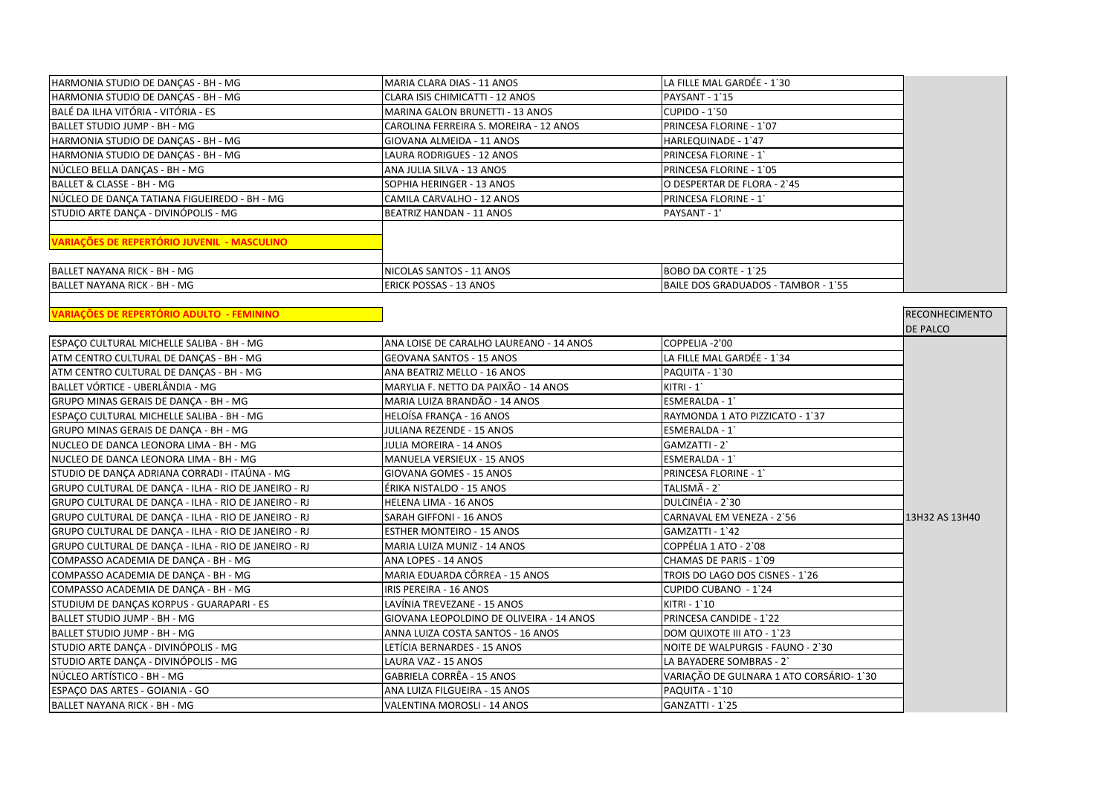| HARMONIA STUDIO DE DANÇAS - BH - MG                  | MARIA CLARA DIAS - 11 ANOS               | LA FILLE MAL GARDÉE - 1`30              |                       |
|------------------------------------------------------|------------------------------------------|-----------------------------------------|-----------------------|
| HARMONIA STUDIO DE DANÇAS - BH - MG                  | CLARA ISIS CHIMICATTI - 12 ANOS          | PAYSANT - 1'15                          |                       |
| BALÉ DA ILHA VITÓRIA - VITÓRIA - ES                  | MARINA GALON BRUNETTI - 13 ANOS          | CUPIDO - 1`50                           |                       |
| BALLET STUDIO JUMP - BH - MG                         | CAROLINA FERREIRA S. MOREIRA - 12 ANOS   | PRINCESA FLORINE - 1'07                 |                       |
| HARMONIA STUDIO DE DANÇAS - BH - MG                  | GIOVANA ALMEIDA - 11 ANOS                | HARLEQUINADE - 1'47                     |                       |
| HARMONIA STUDIO DE DANÇAS - BH - MG                  | LAURA RODRIGUES - 12 ANOS                | PRINCESA FLORINE - 1                    |                       |
| NÚCLEO BELLA DANCAS - BH - MG                        | ANA JULIA SILVA - 13 ANOS                | PRINCESA FLORINE - 1`05                 |                       |
| BALLET & CLASSE - BH - MG                            | SOPHIA HERINGER - 13 ANOS                | O DESPERTAR DE FLORA - 2`45             |                       |
| NÚCLEO DE DANÇA TATIANA FIGUEIREDO - BH - MG         | CAMILA CARVALHO - 12 ANOS                | PRINCESA FLORINE - 1                    |                       |
| STUDIO ARTE DANCA - DIVINÓPOLIS - MG                 | BEATRIZ HANDAN - 11 ANOS                 | PAYSANT - 1'                            |                       |
|                                                      |                                          |                                         |                       |
| <b>VARIAÇÕES DE REPERTÓRIO JUVENIL - MASCULINO</b>   |                                          |                                         |                       |
| BALLET NAYANA RICK - BH - MG                         | NICOLAS SANTOS - 11 ANOS                 | BOBO DA CORTE - 1`25                    |                       |
| <b>BALLET NAYANA RICK - BH - MG</b>                  | <b>ERICK POSSAS - 13 ANOS</b>            | BAILE DOS GRADUADOS - TAMBOR - 1`55     |                       |
|                                                      |                                          |                                         |                       |
| VARIAÇÕES DE REPERTÓRIO ADULTO - FEMININO            |                                          |                                         | <b>RECONHECIMENTO</b> |
|                                                      |                                          |                                         | <b>DE PALCO</b>       |
| ESPAÇO CULTURAL MICHELLE SALIBA - BH - MG            | ANA LOISE DE CARALHO LAUREANO - 14 ANOS  | COPPELIA -2'00                          |                       |
| ATM CENTRO CULTURAL DE DANÇAS - BH - MG              | GEOVANA SANTOS - 15 ANOS                 | LA FILLE MAL GARDÉE - 1'34              |                       |
| ATM CENTRO CULTURAL DE DANÇAS - BH - MG              | ANA BEATRIZ MELLO - 16 ANOS              | PAQUITA - 1`30                          |                       |
| BALLET VÓRTICE - UBERLÂNDIA - MG                     | MARYLIA F. NETTO DA PAIXÃO - 14 ANOS     | $KITRI - 1$                             |                       |
| GRUPO MINAS GERAIS DE DANÇA - BH - MG                | MARIA LUIZA BRANDÃO - 14 ANOS            | ESMERALDA - 1                           |                       |
| ESPAÇO CULTURAL MICHELLE SALIBA - BH - MG            | HELOÍSA FRANÇA - 16 ANOS                 | RAYMONDA 1 ATO PIZZICATO - 1`37         |                       |
| GRUPO MINAS GERAIS DE DANÇA - BH - MG                | JULIANA REZENDE - 15 ANOS                | ESMERALDA - 1                           |                       |
| NUCLEO DE DANCA LEONORA LIMA - BH - MG               | JULIA MOREIRA - 14 ANOS                  | GAMZATTI - 2`                           |                       |
| NUCLEO DE DANCA LEONORA LIMA - BH - MG               | <b>MANUELA VERSIEUX - 15 ANOS</b>        | ESMERALDA - 1                           |                       |
| STUDIO DE DANCA ADRIANA CORRADI - ITAÚNA - MG        | GIOVANA GOMES - 15 ANOS                  | PRINCESA FLORINE - 1                    |                       |
| GRUPO CULTURAL DE DANÇA - ILHA - RIO DE JANEIRO - RJ | ÉRIKA NISTALDO - 15 ANOS                 | TALISMÃ - 2`                            |                       |
| GRUPO CULTURAL DE DANÇA - ILHA - RIO DE JANEIRO - RJ | HELENA LIMA - 16 ANOS                    | DULCINÉIA - 2`30                        |                       |
| GRUPO CULTURAL DE DANÇA - ILHA - RIO DE JANEIRO - RJ | SARAH GIFFONI - 16 ANOS                  | CARNAVAL EM VENEZA - 2`56               | 13H32 AS 13H40        |
| GRUPO CULTURAL DE DANÇA - ILHA - RIO DE JANEIRO - RJ | <b>ESTHER MONTEIRO - 15 ANOS</b>         | GAMZATTI - 1`42                         |                       |
| GRUPO CULTURAL DE DANÇA - ILHA - RIO DE JANEIRO - RJ | MARIA LUIZA MUNIZ - 14 ANOS              | COPPÉLIA 1 ATO - 2`08                   |                       |
| COMPASSO ACADEMIA DE DANÇA - BH - MG                 | ANA LOPES - 14 ANOS                      | CHAMAS DE PARIS - 1`09                  |                       |
| COMPASSO ACADEMIA DE DANÇA - BH - MG                 | MARIA EDUARDA CÔRREA - 15 ANOS           | TROIS DO LAGO DOS CISNES - 1`26         |                       |
| COMPASSO ACADEMIA DE DANÇA - BH - MG                 | IRIS PEREIRA - 16 ANOS                   | CUPIDO CUBANO - 1'24                    |                       |
| STUDIUM DE DANÇAS KORPUS - GUARAPARI - ES            | LAVÍNIA TREVEZANE - 15 ANOS              | KITRI - 1`10                            |                       |
| <b>BALLET STUDIO JUMP - BH - MG</b>                  | GIOVANA LEOPOLDINO DE OLIVEIRA - 14 ANOS | PRINCESA CANDIDE - 1`22                 |                       |
| BALLET STUDIO JUMP - BH - MG                         | ANNA LUIZA COSTA SANTOS - 16 ANOS        | DOM QUIXOTE III ATO - 1`23              |                       |
| STUDIO ARTE DANCA - DIVINÓPOLIS - MG                 | LETÍCIA BERNARDES - 15 ANOS              | NOITE DE WALPURGIS - FAUNO - 2`30       |                       |
| STUDIO ARTE DANÇA - DIVINÓPOLIS - MG                 | LAURA VAZ - 15 ANOS                      | LA BAYADERE SOMBRAS - 2                 |                       |
| NÚCLEO ARTÍSTICO - BH - MG                           | GABRIELA CORRÊA - 15 ANOS                | VARIAÇÃO DE GULNARA 1 ATO CORSÁRIO-1'30 |                       |
| ESPACO DAS ARTES - GOIANIA - GO                      | ANA LUIZA FILGUEIRA - 15 ANOS            | PAQUITA - 1'10                          |                       |
| BALLET NAYANA RICK - BH - MG                         | VALENTINA MOROSLI - 14 ANOS              | GANZATTI - 1`25                         |                       |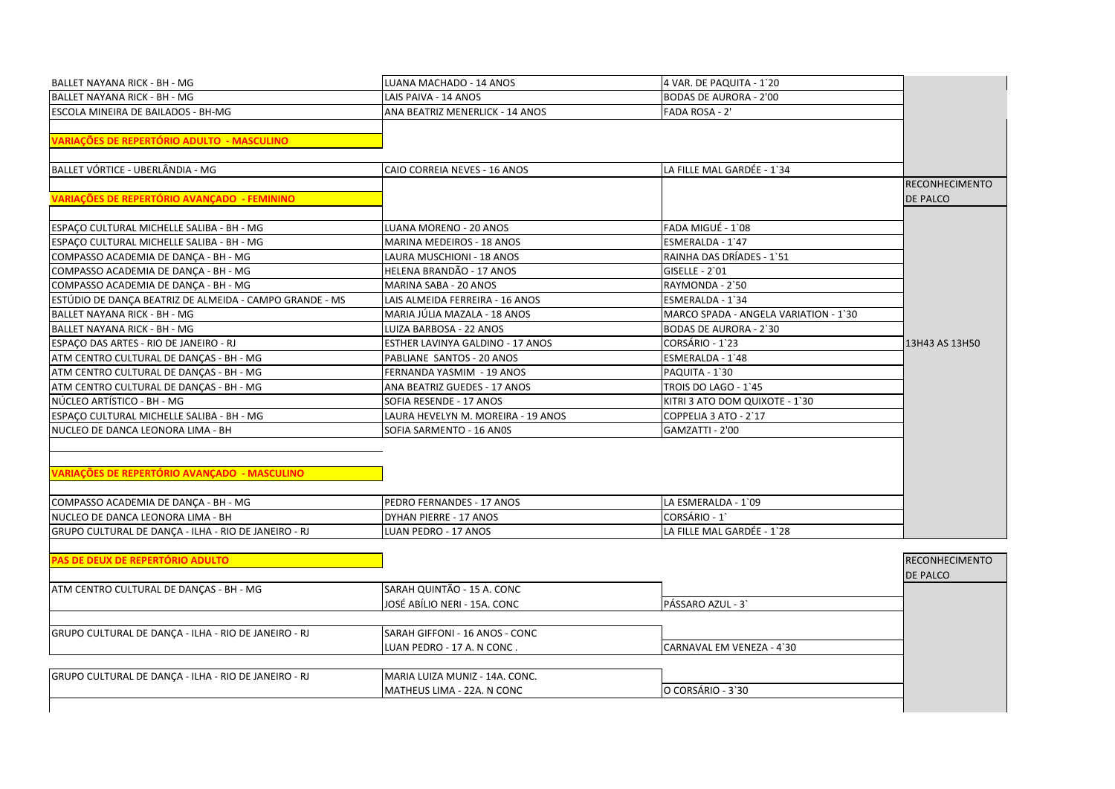| BALLET NAYANA RICK - BH - MG                            | LUANA MACHADO - 14 ANOS            | 4 VAR. DE PAQUITA - 1`20              |                       |
|---------------------------------------------------------|------------------------------------|---------------------------------------|-----------------------|
| BALLET NAYANA RICK - BH - MG                            | LAIS PAIVA - 14 ANOS               | <b>BODAS DE AURORA - 2'00</b>         |                       |
| ESCOLA MINEIRA DE BAILADOS - BH-MG                      | ANA BEATRIZ MENERLICK - 14 ANOS    | <b>FADA ROSA - 2'</b>                 |                       |
|                                                         |                                    |                                       |                       |
| <b>VARIAÇÕES DE REPERTÓRIO ADULTO - MASCULINO</b>       |                                    |                                       |                       |
| BALLET VÓRTICE - UBERLÂNDIA - MG                        | CAIO CORREIA NEVES - 16 ANOS       | LA FILLE MAL GARDÉE - 1`34            |                       |
|                                                         |                                    |                                       | <b>RECONHECIMENTO</b> |
| <b>VARIAÇÕES DE REPERTÓRIO AVANÇADO - FEMININO</b>      |                                    |                                       | <b>DE PALCO</b>       |
| ESPACO CULTURAL MICHELLE SALIBA - BH - MG               | LUANA MORENO - 20 ANOS             | FADA MIGUÉ - 1`08                     |                       |
| ESPAÇO CULTURAL MICHELLE SALIBA - BH - MG               | MARINA MEDEIROS - 18 ANOS          | ESMERALDA - 1`47                      |                       |
| COMPASSO ACADEMIA DE DANÇA - BH - MG                    | LAURA MUSCHIONI - 18 ANOS          | RAINHA DAS DRÍADES - 1`51             |                       |
| COMPASSO ACADEMIA DE DANÇA - BH - MG                    | HELENA BRANDÃO - 17 ANOS           | GISELLE - 2`01                        |                       |
| COMPASSO ACADEMIA DE DANÇA - BH - MG                    | MARINA SABA - 20 ANOS              | RAYMONDA - 2`50                       |                       |
| ESTÚDIO DE DANÇA BEATRIZ DE ALMEIDA - CAMPO GRANDE - MS | LAIS ALMEIDA FERREIRA - 16 ANOS    | ESMERALDA - 1`34                      |                       |
| BALLET NAYANA RICK - BH - MG                            | MARIA JÚLIA MAZALA - 18 ANOS       | MARCO SPADA - ANGELA VARIATION - 1`30 |                       |
| BALLET NAYANA RICK - BH - MG                            | LUIZA BARBOSA - 22 ANOS            | <b>BODAS DE AURORA - 2'30</b>         |                       |
| ESPAÇO DAS ARTES - RIO DE JANEIRO - RJ                  | ESTHER LAVINYA GALDINO - 17 ANOS   | CORSÁRIO - 1`23                       | 13H43 AS 13H50        |
| ATM CENTRO CULTURAL DE DANÇAS - BH - MG                 | PABLIANE SANTOS - 20 ANOS          | ESMERALDA - 1`48                      |                       |
| ATM CENTRO CULTURAL DE DANÇAS - BH - MG                 | FERNANDA YASMIM - 19 ANOS          | PAQUITA - 1`30                        |                       |
| ATM CENTRO CULTURAL DE DANÇAS - BH - MG                 | ANA BEATRIZ GUEDES - 17 ANOS       | TROIS DO LAGO - 1`45                  |                       |
| NÚCLEO ARTÍSTICO - BH - MG                              | SOFIA RESENDE - 17 ANOS            | KITRI 3 ATO DOM QUIXOTE - 1`30        |                       |
| ESPAÇO CULTURAL MICHELLE SALIBA - BH - MG               | LAURA HEVELYN M. MOREIRA - 19 ANOS | COPPELIA 3 ATO - 2`17                 |                       |
| NUCLEO DE DANCA LEONORA LIMA - BH                       | SOFIA SARMENTO - 16 ANOS           | GAMZATTI - 2'00                       |                       |
|                                                         |                                    |                                       |                       |
|                                                         |                                    |                                       |                       |
| <b>VARIAÇÕES DE REPERTÓRIO AVANÇADO - MASCULINO</b>     |                                    |                                       |                       |
| COMPASSO ACADEMIA DE DANÇA - BH - MG                    | PEDRO FERNANDES - 17 ANOS          | LA ESMERALDA - 1'09                   |                       |
| NUCLEO DE DANCA LEONORA LIMA - BH                       | DYHAN PIERRE - 17 ANOS             | CORSÁRIO - 1`                         |                       |
| GRUPO CULTURAL DE DANÇA - ILHA - RIO DE JANEIRO - RJ    | LUAN PEDRO - 17 ANOS               | LA FILLE MAL GARDÉE - 1`28            |                       |
| <b>PAS DE DEUX DE REPERTÓRIO ADULTO</b>                 |                                    |                                       | <b>RECONHECIMENTO</b> |
|                                                         |                                    |                                       | DE PALCO              |
| ATM CENTRO CULTURAL DE DANÇAS - BH - MG                 | SARAH QUINTÃO - 15 A. CONC         |                                       |                       |
|                                                         | JOSÉ ABÍLIO NERI - 15A. CONC       | PÁSSARO AZUL - 3`                     |                       |
|                                                         |                                    |                                       |                       |
| GRUPO CULTURAL DE DANÇA - ILHA - RIO DE JANEIRO - RJ    | SARAH GIFFONI - 16 ANOS - CONC     |                                       |                       |
|                                                         | LUAN PEDRO - 17 A. N CONC.         | CARNAVAL EM VENEZA - 4`30             |                       |
|                                                         |                                    |                                       |                       |
| GRUPO CULTURAL DE DANÇA - ILHA - RIO DE JANEIRO - RJ    | MARIA LUIZA MUNIZ - 14A. CONC.     |                                       |                       |
|                                                         | MATHEUS LIMA - 22A. N CONC         | O CORSÁRIO - 3`30                     |                       |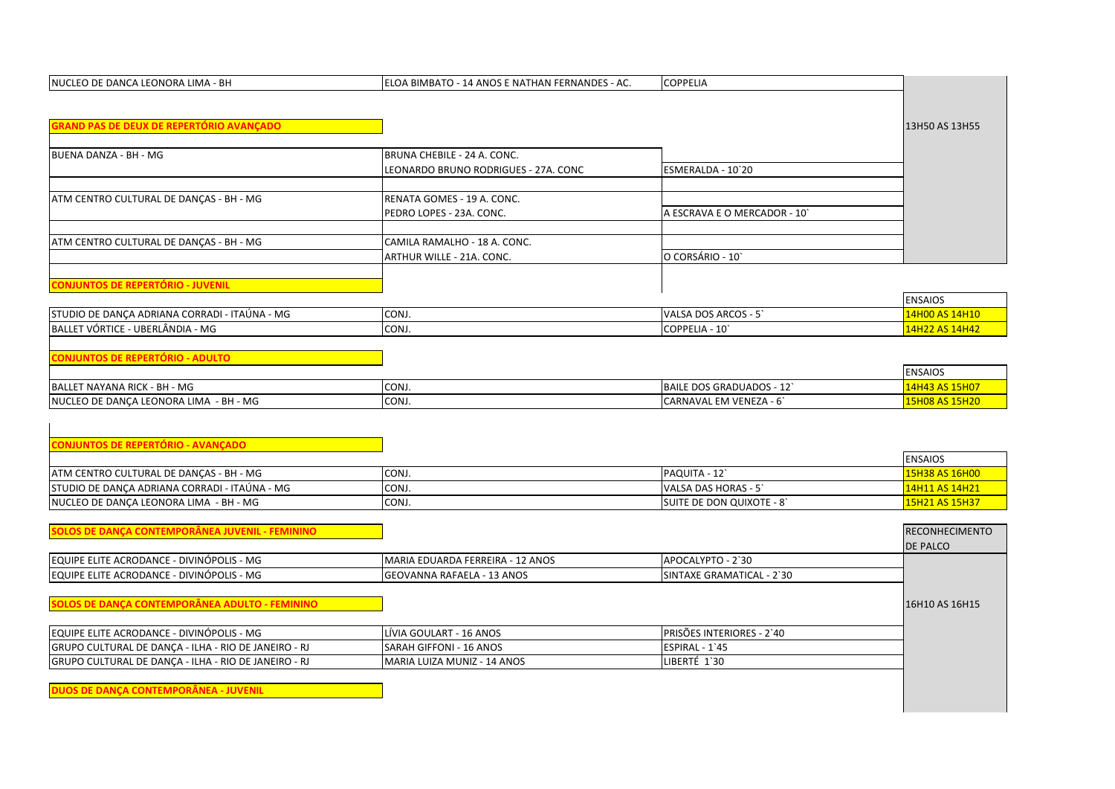| ELOA BIMBATO - 14 ANOS E NATHAN FERNANDES - AC. | <b>COPPELIA</b>                                                                                                                                                                                                                                                                                                                                                                     |                                                                                                                                                                                                                                       |
|-------------------------------------------------|-------------------------------------------------------------------------------------------------------------------------------------------------------------------------------------------------------------------------------------------------------------------------------------------------------------------------------------------------------------------------------------|---------------------------------------------------------------------------------------------------------------------------------------------------------------------------------------------------------------------------------------|
|                                                 |                                                                                                                                                                                                                                                                                                                                                                                     |                                                                                                                                                                                                                                       |
|                                                 |                                                                                                                                                                                                                                                                                                                                                                                     |                                                                                                                                                                                                                                       |
|                                                 |                                                                                                                                                                                                                                                                                                                                                                                     | 13H50 AS 13H55                                                                                                                                                                                                                        |
|                                                 |                                                                                                                                                                                                                                                                                                                                                                                     |                                                                                                                                                                                                                                       |
|                                                 |                                                                                                                                                                                                                                                                                                                                                                                     |                                                                                                                                                                                                                                       |
|                                                 |                                                                                                                                                                                                                                                                                                                                                                                     |                                                                                                                                                                                                                                       |
|                                                 |                                                                                                                                                                                                                                                                                                                                                                                     |                                                                                                                                                                                                                                       |
|                                                 |                                                                                                                                                                                                                                                                                                                                                                                     |                                                                                                                                                                                                                                       |
|                                                 |                                                                                                                                                                                                                                                                                                                                                                                     |                                                                                                                                                                                                                                       |
|                                                 |                                                                                                                                                                                                                                                                                                                                                                                     |                                                                                                                                                                                                                                       |
|                                                 | O CORSÁRIO - 10                                                                                                                                                                                                                                                                                                                                                                     |                                                                                                                                                                                                                                       |
|                                                 |                                                                                                                                                                                                                                                                                                                                                                                     |                                                                                                                                                                                                                                       |
|                                                 |                                                                                                                                                                                                                                                                                                                                                                                     |                                                                                                                                                                                                                                       |
|                                                 |                                                                                                                                                                                                                                                                                                                                                                                     | <b>ENSAIOS</b>                                                                                                                                                                                                                        |
| CONJ.                                           | VALSA DOS ARCOS - 5                                                                                                                                                                                                                                                                                                                                                                 | 14H00 AS 14H10                                                                                                                                                                                                                        |
| CONJ.                                           | COPPELIA - 10                                                                                                                                                                                                                                                                                                                                                                       | 14H22 AS 14H42                                                                                                                                                                                                                        |
|                                                 |                                                                                                                                                                                                                                                                                                                                                                                     |                                                                                                                                                                                                                                       |
|                                                 |                                                                                                                                                                                                                                                                                                                                                                                     |                                                                                                                                                                                                                                       |
|                                                 |                                                                                                                                                                                                                                                                                                                                                                                     | <b>ENSAIOS</b>                                                                                                                                                                                                                        |
| CONJ.                                           | BAILE DOS GRADUADOS - 12                                                                                                                                                                                                                                                                                                                                                            | 14H43 AS 15H07                                                                                                                                                                                                                        |
| CONJ.                                           | CARNAVAL EM VENEZA - 6                                                                                                                                                                                                                                                                                                                                                              | 15H08 AS 15H20                                                                                                                                                                                                                        |
|                                                 |                                                                                                                                                                                                                                                                                                                                                                                     |                                                                                                                                                                                                                                       |
|                                                 |                                                                                                                                                                                                                                                                                                                                                                                     |                                                                                                                                                                                                                                       |
|                                                 |                                                                                                                                                                                                                                                                                                                                                                                     |                                                                                                                                                                                                                                       |
|                                                 |                                                                                                                                                                                                                                                                                                                                                                                     | <b>ENSAIOS</b>                                                                                                                                                                                                                        |
|                                                 |                                                                                                                                                                                                                                                                                                                                                                                     | 15H38 AS 16H00                                                                                                                                                                                                                        |
|                                                 |                                                                                                                                                                                                                                                                                                                                                                                     | 14H11 AS 14H21                                                                                                                                                                                                                        |
|                                                 |                                                                                                                                                                                                                                                                                                                                                                                     | 15H21 AS 15H37                                                                                                                                                                                                                        |
|                                                 |                                                                                                                                                                                                                                                                                                                                                                                     |                                                                                                                                                                                                                                       |
|                                                 |                                                                                                                                                                                                                                                                                                                                                                                     | <b>RECONHECIMENTO</b>                                                                                                                                                                                                                 |
|                                                 |                                                                                                                                                                                                                                                                                                                                                                                     | <b>DE PALCO</b>                                                                                                                                                                                                                       |
|                                                 |                                                                                                                                                                                                                                                                                                                                                                                     |                                                                                                                                                                                                                                       |
|                                                 |                                                                                                                                                                                                                                                                                                                                                                                     |                                                                                                                                                                                                                                       |
|                                                 |                                                                                                                                                                                                                                                                                                                                                                                     | 16H10 AS 16H15                                                                                                                                                                                                                        |
|                                                 |                                                                                                                                                                                                                                                                                                                                                                                     |                                                                                                                                                                                                                                       |
|                                                 |                                                                                                                                                                                                                                                                                                                                                                                     |                                                                                                                                                                                                                                       |
|                                                 |                                                                                                                                                                                                                                                                                                                                                                                     |                                                                                                                                                                                                                                       |
|                                                 |                                                                                                                                                                                                                                                                                                                                                                                     |                                                                                                                                                                                                                                       |
|                                                 |                                                                                                                                                                                                                                                                                                                                                                                     |                                                                                                                                                                                                                                       |
|                                                 |                                                                                                                                                                                                                                                                                                                                                                                     |                                                                                                                                                                                                                                       |
|                                                 |                                                                                                                                                                                                                                                                                                                                                                                     |                                                                                                                                                                                                                                       |
|                                                 | BRUNA CHEBILE - 24 A. CONC.<br>LEONARDO BRUNO RODRIGUES - 27A. CONC<br>RENATA GOMES - 19 A. CONC.<br>PEDRO LOPES - 23A. CONC.<br>CAMILA RAMALHO - 18 A. CONC.<br>ARTHUR WILLE - 21A. CONC.<br>CONJ.<br>CONJ.<br>CONJ.<br>MARIA EDUARDA FERREIRA - 12 ANOS<br><b>GEOVANNA RAFAELA - 13 ANOS</b><br>LÍVIA GOULART - 16 ANOS<br>SARAH GIFFONI - 16 ANOS<br>MARIA LUIZA MUNIZ - 14 ANOS | ESMERALDA - 10`20<br>A ESCRAVA E O MERCADOR - 10<br>PAQUITA - 12`<br>VALSA DAS HORAS - 5<br>SUITE DE DON QUIXOTE - 8<br>APOCALYPTO - 2`30<br>SINTAXE GRAMATICAL - 2`30<br>PRISÕES INTERIORES - 2'40<br>ESPIRAL - 1'45<br>LIBERTÉ 1'30 |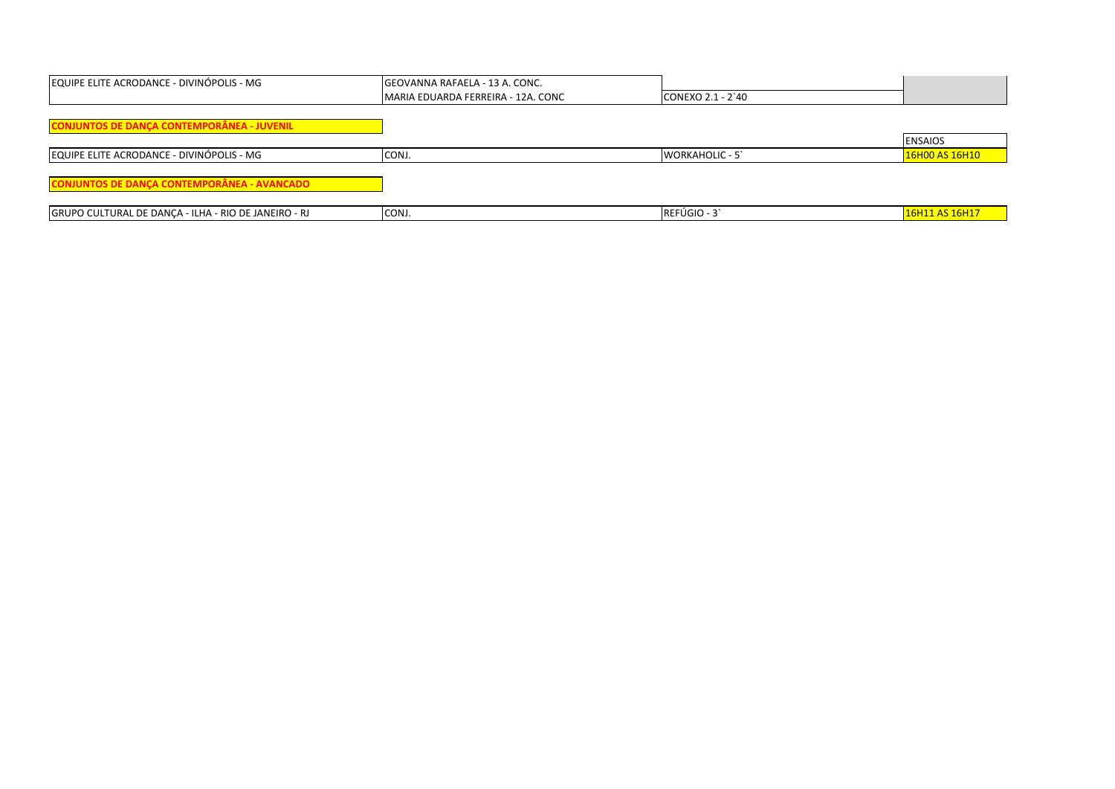| EQUIPE ELITE ACRODANCE - DIVINÓPOLIS - MG            | <b>GEOVANNA RAFAELA - 13 A. CONC.</b> |                        |                |
|------------------------------------------------------|---------------------------------------|------------------------|----------------|
|                                                      | lMARIA EDUARDA FERREIRA - 12A. CONC   | CONEXO 2.1 - 2`40      |                |
|                                                      |                                       |                        |                |
| <b>CONJUNTOS DE DANÇA CONTEMPORÂNEA - JUVENIL</b>    |                                       |                        |                |
|                                                      |                                       |                        | <b>ENSAIOS</b> |
| EQUIPE ELITE ACRODANCE - DIVINÓPOLIS - MG            | CONJ.                                 | <b>WORKAHOLIC - 5'</b> | 16H00 AS 16H10 |
|                                                      |                                       |                        |                |
| <b>CONJUNTOS DE DANÇA CONTEMPORÂNEA - AVANCADO</b>   |                                       |                        |                |
|                                                      |                                       |                        |                |
| GRUPO CULTURAL DE DANÇA - ILHA - RIO DE JANEIRO - RJ | CONJ.                                 | REFÚGIO - 3            | 16H11 AS 16H17 |
|                                                      |                                       |                        |                |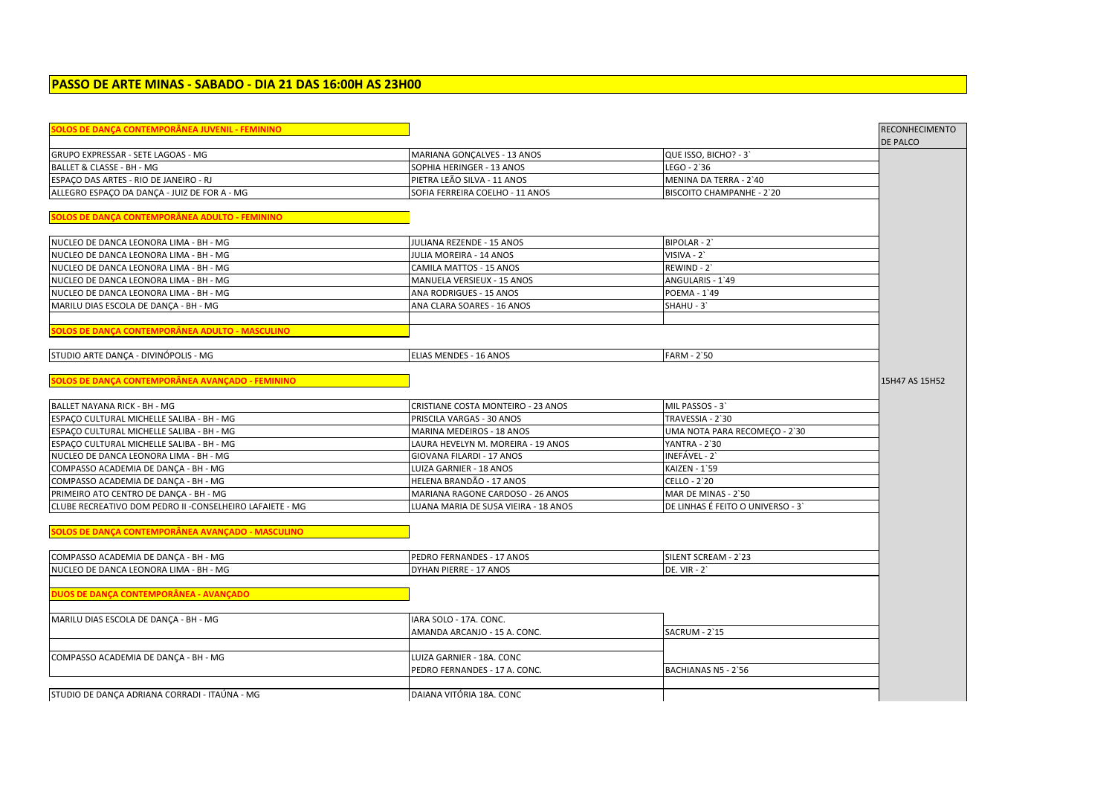| PASSO DE ARTE MINAS - SABADO - DIA 21 DAS 16:00H AS 23H00 |  |  |
|-----------------------------------------------------------|--|--|
|-----------------------------------------------------------|--|--|

| <u> SOLOS DE DANÇA CONTEMPORÂNEA JUVENIL - FEMININO</u>   |                                      |                                   | <b>RECONHECIMENTO</b> |
|-----------------------------------------------------------|--------------------------------------|-----------------------------------|-----------------------|
| GRUPO EXPRESSAR - SETE LAGOAS - MG                        | MARIANA GONCALVES - 13 ANOS          | QUE ISSO, BICHO? - 3`             | DE PALCO              |
| BALLET & CLASSE - BH - MG                                 | SOPHIA HERINGER - 13 ANOS            | LEGO - 2`36                       |                       |
| ESPACO DAS ARTES - RIO DE JANEIRO - RJ                    | PIETRA LEÃO SILVA - 11 ANOS          | MENINA DA TERRA - 2'40            |                       |
| ALLEGRO ESPAÇO DA DANÇA - JUIZ DE FOR A - MG              | SOFIA FERREIRA COELHO - 11 ANOS      | BISCOITO CHAMPANHE - 2`20         |                       |
|                                                           |                                      |                                   |                       |
| SOLOS DE DANÇA CONTEMPORÂNEA ADULTO - FEMININO            |                                      |                                   |                       |
| NUCLEO DE DANCA LEONORA LIMA - BH - MG                    | JULIANA REZENDE - 15 ANOS            | BIPOLAR - 2'                      |                       |
| NUCLEO DE DANCA LEONORA LIMA - BH - MG                    | JULIA MOREIRA - 14 ANOS              | VISIVA - 2`                       |                       |
| NUCLEO DE DANCA LEONORA LIMA - BH - MG                    | CAMILA MATTOS - 15 ANOS              | REWIND - 2                        |                       |
| NUCLEO DE DANCA LEONORA LIMA - BH - MG                    | MANUELA VERSIEUX - 15 ANOS           | ANGULARIS - 1`49                  |                       |
| NUCLEO DE DANCA LEONORA LIMA - BH - MG                    | ANA RODRIGUES - 15 ANOS              | POEMA - 1'49                      |                       |
| MARILU DIAS ESCOLA DE DANÇA - BH - MG                     | ANA CLARA SOARES - 16 ANOS           | SHAHU - 3`                        |                       |
|                                                           |                                      |                                   |                       |
| SOLOS DE DANÇA CONTEMPORÂNEA ADULTO - MASCULINO           |                                      |                                   |                       |
| STUDIO ARTE DANCA - DIVINÓPOLIS - MG                      | <b>ELIAS MENDES - 16 ANOS</b>        | <b>FARM - 2`50</b>                |                       |
| SOLOS DE DANÇA CONTEMPORÂNEA AVANÇADO - FEMININO          |                                      |                                   | 15H47 AS 15H52        |
|                                                           |                                      |                                   |                       |
| BALLET NAYANA RICK - BH - MG                              | CRISTIANE COSTA MONTEIRO - 23 ANOS   | MIL PASSOS - 3                    |                       |
| ESPACO CULTURAL MICHELLE SALIBA - BH - MG                 | PRISCILA VARGAS - 30 ANOS            | TRAVESSIA - 2`30                  |                       |
| ESPACO CULTURAL MICHELLE SALIBA - BH - MG                 | MARINA MEDEIROS - 18 ANOS            | UMA NOTA PARA RECOMEÇO - 2`30     |                       |
| ESPACO CULTURAL MICHELLE SALIBA - BH - MG                 | LAURA HEVELYN M. MOREIRA - 19 ANOS   | YANTRA - 2`30                     |                       |
| NUCLEO DE DANCA LEONORA LIMA - BH - MG                    | GIOVANA FILARDI - 17 ANOS            | INEFÁVEL - 2`                     |                       |
| COMPASSO ACADEMIA DE DANÇA - BH - MG                      | LUIZA GARNIER - 18 ANOS              | KAIZEN - 1`59                     |                       |
| COMPASSO ACADEMIA DE DANÇA - BH - MG                      | HELENA BRANDÃO - 17 ANOS             | CELLO - 2`20                      |                       |
| PRIMEIRO ATO CENTRO DE DANÇA - BH - MG                    | MARIANA RAGONE CARDOSO - 26 ANOS     | MAR DE MINAS - 2`50               |                       |
| CLUBE RECREATIVO DOM PEDRO II - CONSELHEIRO LAFAIETE - MG | LUANA MARIA DE SUSA VIEIRA - 18 ANOS | DE LINHAS É FEITO O UNIVERSO - 3` |                       |
| SOLOS DE DANÇA CONTEMPORÂNEA AVANÇADO - MASCULINO         |                                      |                                   |                       |
|                                                           |                                      |                                   |                       |
| COMPASSO ACADEMIA DE DANÇA - BH - MG                      | PEDRO FERNANDES - 17 ANOS            | SILENT SCREAM - 2`23              |                       |
| NUCLEO DE DANCA LEONORA LIMA - BH - MG                    | DYHAN PIERRE - 17 ANOS               | <b>DE. VIR - 2'</b>               |                       |
| DUOS DE DANÇA CONTEMPORÂNEA - AVANÇADO                    |                                      |                                   |                       |
| MARILU DIAS ESCOLA DE DANÇA - BH - MG                     | IARA SOLO - 17A. CONC.               |                                   |                       |
|                                                           | AMANDA ARCANJO - 15 A. CONC.         | <b>SACRUM - 2`15</b>              |                       |
| COMPASSO ACADEMIA DE DANÇA - BH - MG                      | LUIZA GARNIER - 18A. CONC            |                                   |                       |
|                                                           | PEDRO FERNANDES - 17 A. CONC.        | BACHIANAS N5 - 2'56               |                       |
| STUDIO DE DANÇA ADRIANA CORRADI - ITAÚNA - MG             | DAIANA VITÓRIA 18A. CONC             |                                   |                       |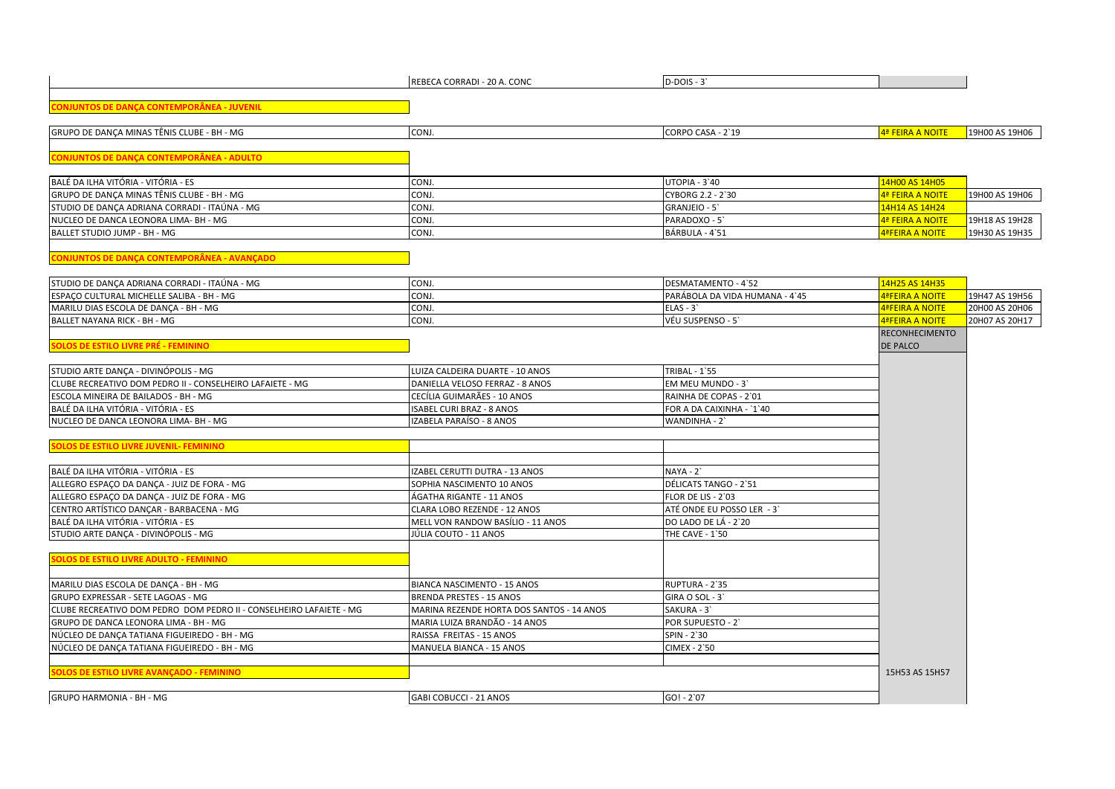|                                                                     | REBECA CORRADI - 20 A. CONC               | $D-DOIS - 3'$                  |                        |                |
|---------------------------------------------------------------------|-------------------------------------------|--------------------------------|------------------------|----------------|
|                                                                     |                                           |                                |                        |                |
| <u> CONJUNTOS DE DANÇA CONTEMPORÂNEA - JUVENIL</u>                  |                                           |                                |                        |                |
| GRUPO DE DANÇA MINAS TÊNIS CLUBE - BH - MG                          | CONJ.                                     | CORPO CASA - 2`19              | 4ª FEIRA A NOITE       | 19H00 AS 19H06 |
| CONJUNTOS DE DANÇA CONTEMPORÂNEA - ADULTO                           |                                           |                                |                        |                |
|                                                                     |                                           |                                |                        |                |
| BALÉ DA ILHA VITÓRIA - VITÓRIA - ES                                 | CONJ.                                     | UTOPIA - 3'40                  | 14H00 AS 14H05         |                |
| GRUPO DE DANÇA MINAS TÊNIS CLUBE - BH - MG                          | CONJ.                                     | CYBORG 2.2 - 2`30              | 4ª FEIRA A NOITE       | 19H00 AS 19H06 |
| STUDIO DE DANÇA ADRIANA CORRADI - ITAÚNA - MG                       | CONJ.                                     | GRANJEIO - 5'                  | 14H14 AS 14H24         |                |
| NUCLEO DE DANCA LEONORA LIMA- BH - MG                               | CONJ.                                     | PARADOXO - 5'                  | 4ª FEIRA A NOITE       | 19H18 AS 19H28 |
| BALLET STUDIO JUMP - BH - MG                                        | CONJ.                                     | BÁRBULA - 4`51                 | <b>4ªFEIRA A NOITE</b> | 19H30 AS 19H35 |
|                                                                     |                                           |                                |                        |                |
| CONJUNTOS DE DANÇA CONTEMPORÂNEA - AVANÇADO                         |                                           |                                |                        |                |
| STUDIO DE DANÇA ADRIANA CORRADI - ITAÚNA - MG                       | CONJ.                                     | DESMATAMENTO - 4`52            | 14H25 AS 14H35         |                |
| ESPACO CULTURAL MICHELLE SALIBA - BH - MG                           | CONJ.                                     | PARÁBOLA DA VIDA HUMANA - 4`45 | <b>4ªFEIRA A NOITE</b> | 19H47 AS 19H56 |
| MARILU DIAS ESCOLA DE DANÇA - BH - MG                               | CONJ.                                     | $ELAS - 3'$                    | <b>4ªFEIRA A NOITE</b> | 20H00 AS 20H06 |
| BALLET NAYANA RICK - BH - MG                                        | CONJ.                                     | VÉU SUSPENSO - 5               | <b>4ªFEIRA A NOITE</b> | 20H07 AS 20H17 |
|                                                                     |                                           |                                | <b>RECONHECIMENTO</b>  |                |
| SOLOS DE ESTILO LIVRE PRÉ - FEMININO                                |                                           |                                | <b>DE PALCO</b>        |                |
|                                                                     |                                           |                                |                        |                |
| STUDIO ARTE DANCA - DIVINÓPOLIS - MG                                | LUIZA CALDEIRA DUARTE - 10 ANOS           | <b>TRIBAL - 1'55</b>           |                        |                |
| CLUBE RECREATIVO DOM PEDRO II - CONSELHEIRO LAFAIETE - MG           | DANIELLA VELOSO FERRAZ - 8 ANOS           | EM MEU MUNDO - 3               |                        |                |
| ESCOLA MINEIRA DE BAILADOS - BH - MG                                | CECÍLIA GUIMARÃES - 10 ANOS               | RAINHA DE COPAS - 2`01         |                        |                |
| BALÉ DA ILHA VITÓRIA - VITÓRIA - ES                                 | ISABEL CURI BRAZ - 8 ANOS                 | FOR A DA CAIXINHA - `1`40      |                        |                |
| NUCLEO DE DANCA LEONORA LIMA- BH - MG                               | IZABELA PARAÍSO - 8 ANOS                  | WANDINHA - 2                   |                        |                |
|                                                                     |                                           |                                |                        |                |
| <b>SOLOS DE ESTILO LIVRE JUVENIL- FEMININO</b>                      |                                           |                                |                        |                |
| BALÉ DA ILHA VITÓRIA - VITÓRIA - ES                                 | IZABEL CERUTTI DUTRA - 13 ANOS            | $NAYA - 2$                     |                        |                |
| ALLEGRO ESPAÇO DA DANÇA - JUIZ DE FORA - MG                         | SOPHIA NASCIMENTO 10 ANOS                 | DÉLICATS TANGO - 2`51          |                        |                |
| ALLEGRO ESPAÇO DA DANÇA - JUIZ DE FORA - MG                         | ÁGATHA RIGANTE - 11 ANOS                  | FLOR DE LIS - 2`03             |                        |                |
| CENTRO ARTÍSTICO DANÇAR - BARBACENA - MG                            | CLARA LOBO REZENDE - 12 ANOS              | ATÉ ONDE EU POSSO LER - 3'     |                        |                |
| BALÉ DA ILHA VITÓRIA - VITÓRIA - ES                                 | MELL VON RANDOW BASÍLIO - 11 ANOS         | DO LADO DE LÁ - 2`20           |                        |                |
| STUDIO ARTE DANÇA - DIVINÓPOLIS - MG                                | JÚLIA COUTO - 11 ANOS                     | <b>THE CAVE - 1`50</b>         |                        |                |
|                                                                     |                                           |                                |                        |                |
| <b>SOLOS DE ESTILO LIVRE ADULTO - FEMININO</b>                      |                                           |                                |                        |                |
|                                                                     |                                           |                                |                        |                |
| MARILU DIAS ESCOLA DE DANÇA - BH - MG                               | <b>BIANCA NASCIMENTO - 15 ANOS</b>        | RUPTURA - 2`35                 |                        |                |
| GRUPO EXPRESSAR - SETE LAGOAS - MG                                  | <b>BRENDA PRESTES - 15 ANOS</b>           | GIRA O SOL - 3'                |                        |                |
| CLUBE RECREATIVO DOM PEDRO DOM PEDRO II - CONSELHEIRO LAFAIETE - MG | MARINA REZENDE HORTA DOS SANTOS - 14 ANOS | SAKURA - 3'                    |                        |                |
| GRUPO DE DANCA LEONORA LIMA - BH - MG                               | MARIA LUIZA BRANDÃO - 14 ANOS             | POR SUPUESTO - 2'              |                        |                |
| NÚCLEO DE DANCA TATIANA FIGUEIREDO - BH - MG                        | RAISSA FREITAS - 15 ANOS                  | SPIN - 2'30                    |                        |                |
| NÚCLEO DE DANÇA TATIANA FIGUEIREDO - BH - MG                        | MANUELA BIANCA - 15 ANOS                  | CIMEX - 2`50                   |                        |                |
|                                                                     |                                           |                                |                        |                |
| <b>SOLOS DE ESTILO LIVRE AVANCADO - FEMININO</b>                    |                                           |                                | 15H53 AS 15H57         |                |
| GRUPO HARMONIA - BH - MG                                            | GABI COBUCCI - 21 ANOS                    | $GO! - 2'07$                   |                        |                |
|                                                                     |                                           |                                |                        |                |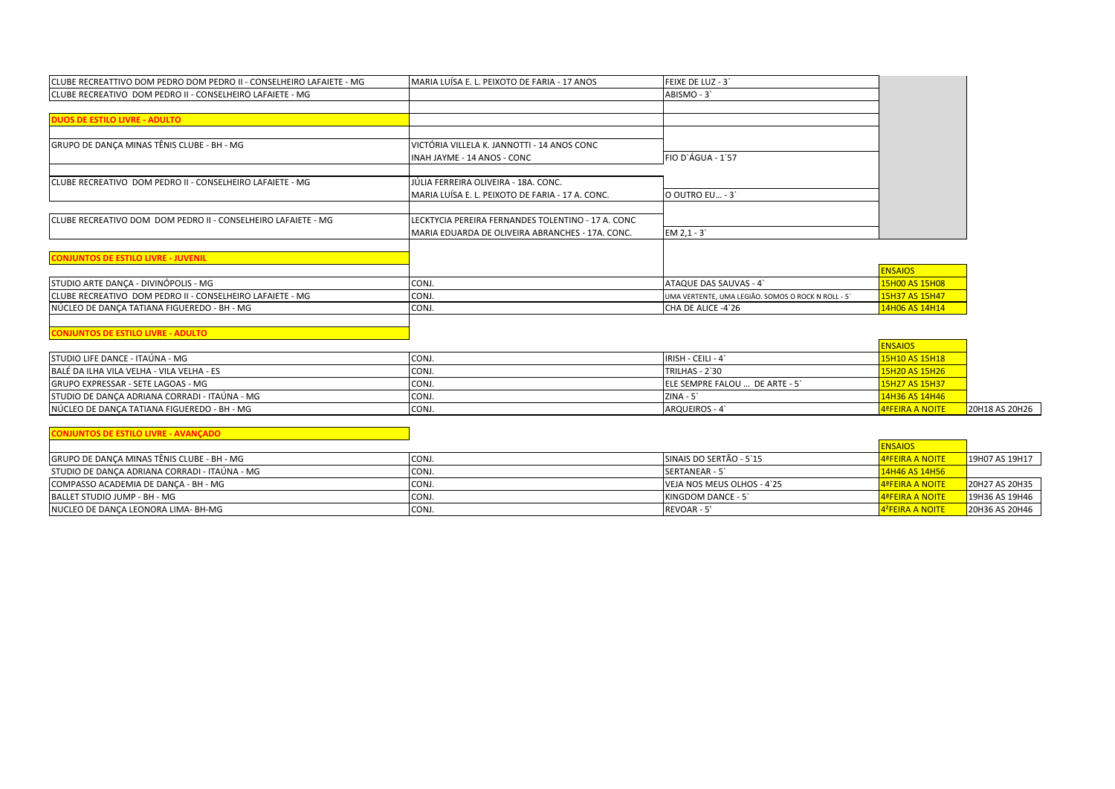| CLUBE RECREATTIVO DOM PEDRO DOM PEDRO II - CONSELHEIRO LAFAIETE - MG | MARIA LUÍSA E. L. PEIXOTO DE FARIA - 17 ANOS       | FEIXE DE LUZ - 3'                                  |                |
|----------------------------------------------------------------------|----------------------------------------------------|----------------------------------------------------|----------------|
| CLUBE RECREATIVO DOM PEDRO II - CONSELHEIRO LAFAIETE - MG            |                                                    | ABISMO - 3                                         |                |
| <b>DUOS DE ESTILO LIVRE - ADULTO</b>                                 |                                                    |                                                    |                |
| GRUPO DE DANÇA MINAS TÊNIS CLUBE - BH - MG                           | VICTÓRIA VILLELA K. JANNOTTI - 14 ANOS CONC        |                                                    |                |
|                                                                      | INAH JAYME - 14 ANOS - CONC                        | FIO D'ÁGUA - 1'57                                  |                |
| ICLUBE RECREATIVO DOM PEDRO II - CONSELHEIRO LAFAIETE - MG           | JÚLIA FERREIRA OLIVEIRA - 18A. CONC.               |                                                    |                |
|                                                                      | MARIA LUÍSA E. L. PEIXOTO DE FARIA - 17 A. CONC.   | O OUTRO EU - 3                                     |                |
| CLUBE RECREATIVO DOM DOM PEDRO II - CONSELHEIRO LAFAIETE - MG        | LECKTYCIA PEREIRA FERNANDES TOLENTINO - 17 A. CONC |                                                    |                |
|                                                                      | MARIA EDUARDA DE OLIVEIRA ABRANCHES - 17A. CONC.   | $EM 2, 1 - 3$                                      |                |
| <b>CONJUNTOS DE ESTILO LIVRE - JUVENIL</b>                           |                                                    |                                                    |                |
|                                                                      |                                                    |                                                    | <b>ENSAIOS</b> |
| STUDIO ARTE DANCA - DIVINÓPOLIS - MG                                 | CONJ.                                              | ATAQUE DAS SAUVAS - 4                              | 15H00 AS 15H08 |
| CLUBE RECREATIVO DOM PEDRO II - CONSELHEIRO LAFAIETE - MG            | CONJ.                                              | UMA VERTENTE, UMA LEGIÃO. SOMOS O ROCK N ROLL - 5` | 15H37 AS 15H47 |
| NÚCLEO DE DANÇA TATIANA FIGUEREDO - BH - MG                          | CONJ.                                              | CHA DE ALICE -4`26                                 | 14H06 AS 14H14 |
| <b>CONJUNTOS DE ESTILO LIVRE - ADULTO</b>                            |                                                    |                                                    |                |

| ISTUDIO LIFE DANCE - ITAÙNA - MG               | CONJ. | IRISH - CEILI - 4`            | 15H10 AS 15H18         |                  |
|------------------------------------------------|-------|-------------------------------|------------------------|------------------|
| BALÉ DA ILHA VILA VELHA - VILA VELHA - ES      | CONJ. | TRILHAS - 2`30                | <b>15H20 AS 15H26</b>  |                  |
| IGRUPO EXPRESSAR - SETE LAGOAS - MG            | CONJ. | ELE SEMPRE FALOU  DE ARTE - 5 | 15H27 AS 15H37         |                  |
| ISTUDIO DE DANCA ADRIANA CORRADI - ITAÚNA - MG | CONJ. | $ZINA - 5$                    | 14H36 AS 14H46         |                  |
| NÚCLEO DE DANÇA TATIANA FIGUEREDO - BH - MG    | CONJ. | ARQUEIROS - 4                 | <b>4ªFEIRA A NOITE</b> | $20H18$ AS 20H26 |

**CONJUNTOS DE ESTILO LIVRE - AVANÇADO** ENSAIOS<br>4ªFEIRA A NOITE GRUPO DE DANÇA MINAS TÊNIS CLUBE - BH - MG SANTA SANTA SANTA SANTA SANTA SANTA SANTA SANTA SANTA SANTA SANTA SANTA SANTA SANTA SANTA SANTA SANTA SANTA SANTA SANTA SANTA SANTA SANTA SANTA SANTA SANTA SANTA SANTA SANTA SANTA STUDIO DE DANÇA ADRIANA CORRADI - ITAÚNA - MG COMPASSO ACADEMIA DE DANÇA - BH - MG COMPASSO ANG CONJE NEJA NOS MEUS OLHOS - 4`25 4ªFEIRA A NOITE 20H27 AS 20H35<br>1995 BALLET STUDIO JUMP - BH - MG COSS 43 19H46 AS 19H46 BALLET STUDIO JUMP - BH - MG CONJE 19H36 AS 19H46<br>
NUCLEO DE DANÇA LEONORA LIMA- BH-MG CONJE CONJE CONJ. CONJ. CONJE CONJE REVOAR - 5' 4<sup>2</sup>FEIRA A NOITE 20H36 AS 20H46 NUCLEO DE DANÇA LEONORA LIMA- BH-MG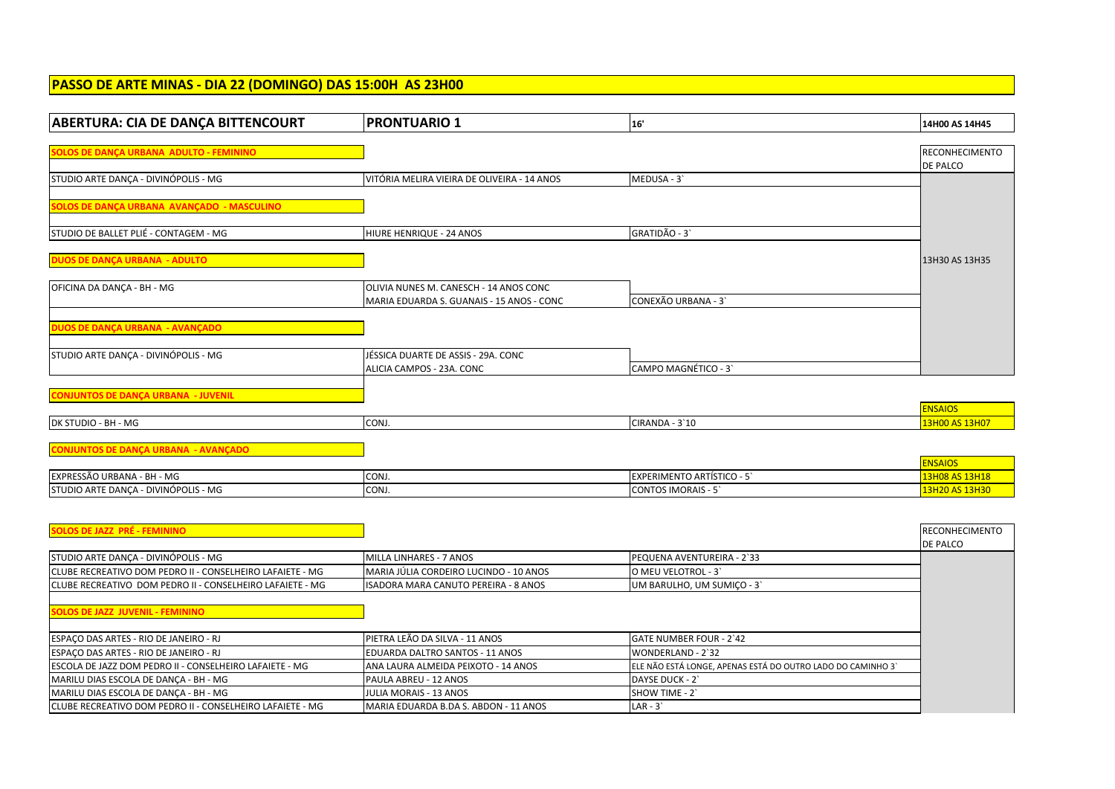## **PASSO DE ARTE MINAS - DIA 22 (DOMINGO) DAS 15:00H AS 23H00**

| <b>ABERTURA: CIA DE DANÇA BITTENCOURT</b>                 | <b>PRONTUARIO 1</b>                         | 16'                                                         | 14H00 AS 14H45                   |
|-----------------------------------------------------------|---------------------------------------------|-------------------------------------------------------------|----------------------------------|
|                                                           |                                             |                                                             |                                  |
| SOLOS DE DANÇA URBANA ADULTO - FEMININO                   |                                             |                                                             | RECONHECIMENTO<br>DE PALCO       |
| STUDIO ARTE DANCA - DIVINÓPOLIS - MG                      | VITÓRIA MELIRA VIEIRA DE OLIVEIRA - 14 ANOS | MEDUSA - 3                                                  |                                  |
|                                                           |                                             |                                                             |                                  |
| SOLOS DE DANÇA URBANA AVANÇADO - MASCULINO                |                                             |                                                             |                                  |
| STUDIO DE BALLET PLIÉ - CONTAGEM - MG                     | HIURE HENRIQUE - 24 ANOS                    | GRATIDÃO - 3                                                |                                  |
|                                                           |                                             |                                                             |                                  |
| <b>DUOS DE DANÇA URBANA - ADULTO</b>                      |                                             |                                                             | 13H30 AS 13H35                   |
| OFICINA DA DANÇA - BH - MG                                | OLIVIA NUNES M. CANESCH - 14 ANOS CONC      |                                                             |                                  |
|                                                           | MARIA EDUARDA S. GUANAIS - 15 ANOS - CONC   | CONEXÃO URBANA - 3                                          |                                  |
| DUOS DE DANÇA URBANA - AVANÇADO                           |                                             |                                                             |                                  |
|                                                           |                                             |                                                             |                                  |
| STUDIO ARTE DANÇA - DIVINÓPOLIS - MG                      | JÉSSICA DUARTE DE ASSIS - 29A. CONC         |                                                             |                                  |
|                                                           | ALICIA CAMPOS - 23A. CONC                   | CAMPO MAGNÉTICO - 3                                         |                                  |
|                                                           |                                             |                                                             |                                  |
| <b>CONJUNTOS DE DANÇA URBANA - JUVENIL</b>                |                                             |                                                             | <b>ENSAIOS</b>                   |
| DK STUDIO - BH - MG                                       | CONJ.                                       | CIRANDA - 3'10                                              | 13H00 AS 13H07                   |
|                                                           |                                             |                                                             |                                  |
| <b>CONJUNTOS DE DANÇA URBANA - AVANÇADO</b>               |                                             |                                                             |                                  |
| EXPRESSÃO URBANA - BH - MG                                | CONJ.                                       | <b>EXPERIMENTO ARTÍSTICO - 5'</b>                           | <b>ENSAIOS</b><br>13H08 AS 13H18 |
| STUDIO ARTE DANCA - DIVINÓPOLIS - MG                      | CONJ.                                       | <b>CONTOS IMORAIS - 5'</b>                                  | 13H20 AS 13H30                   |
|                                                           |                                             |                                                             |                                  |
|                                                           |                                             |                                                             |                                  |
| <b>SOLOS DE JAZZ PRÉ - FEMININO</b>                       |                                             |                                                             | <b>RECONHECIMENTO</b>            |
| STUDIO ARTE DANÇA - DIVINÓPOLIS - MG                      | MILLA LINHARES - 7 ANOS                     | PEQUENA AVENTUREIRA - 2`33                                  | DE PALCO                         |
| CLUBE RECREATIVO DOM PEDRO II - CONSELHEIRO LAFAIETE - MG | MARIA JÚLIA CORDEIRO LUCINDO - 10 ANOS      | O MEU VELOTROL - 3                                          |                                  |
| CLUBE RECREATIVO DOM PEDRO II - CONSELHEIRO LAFAIETE - MG | ISADORA MARA CANUTO PEREIRA - 8 ANOS        | UM BARULHO, UM SUMIÇO - 3                                   |                                  |
|                                                           |                                             |                                                             |                                  |
| <b>SOLOS DE JAZZ JUVENIL - FEMININO</b>                   |                                             |                                                             |                                  |
| ESPAÇO DAS ARTES - RIO DE JANEIRO - RJ                    | PIETRA LEÃO DA SILVA - 11 ANOS              | <b>GATE NUMBER FOUR - 2`42</b>                              |                                  |
| ESPAÇO DAS ARTES - RIO DE JANEIRO - RJ                    | EDUARDA DALTRO SANTOS - 11 ANOS             | WONDERLAND - 2`32                                           |                                  |
| ESCOLA DE JAZZ DOM PEDRO II - CONSELHEIRO LAFAIETE - MG   | ANA LAURA ALMEIDA PEIXOTO - 14 ANOS         | ELE NÃO ESTÁ LONGE, APENAS ESTÁ DO OUTRO LADO DO CAMINHO 3' |                                  |
| MARILU DIAS ESCOLA DE DANÇA - BH - MG                     | PAULA ABREU - 12 ANOS                       | DAYSE DUCK - 2                                              |                                  |
| MARILU DIAS ESCOLA DE DANCA - BH - MG                     | JULIA MORAIS - 13 ANOS                      | SHOW TIME - 2`                                              |                                  |
| CLUBE RECREATIVO DOM PEDRO II - CONSELHEIRO LAFAIETE - MG | MARIA EDUARDA B.DA S. ABDON - 11 ANOS       | $LAR - 3'$                                                  |                                  |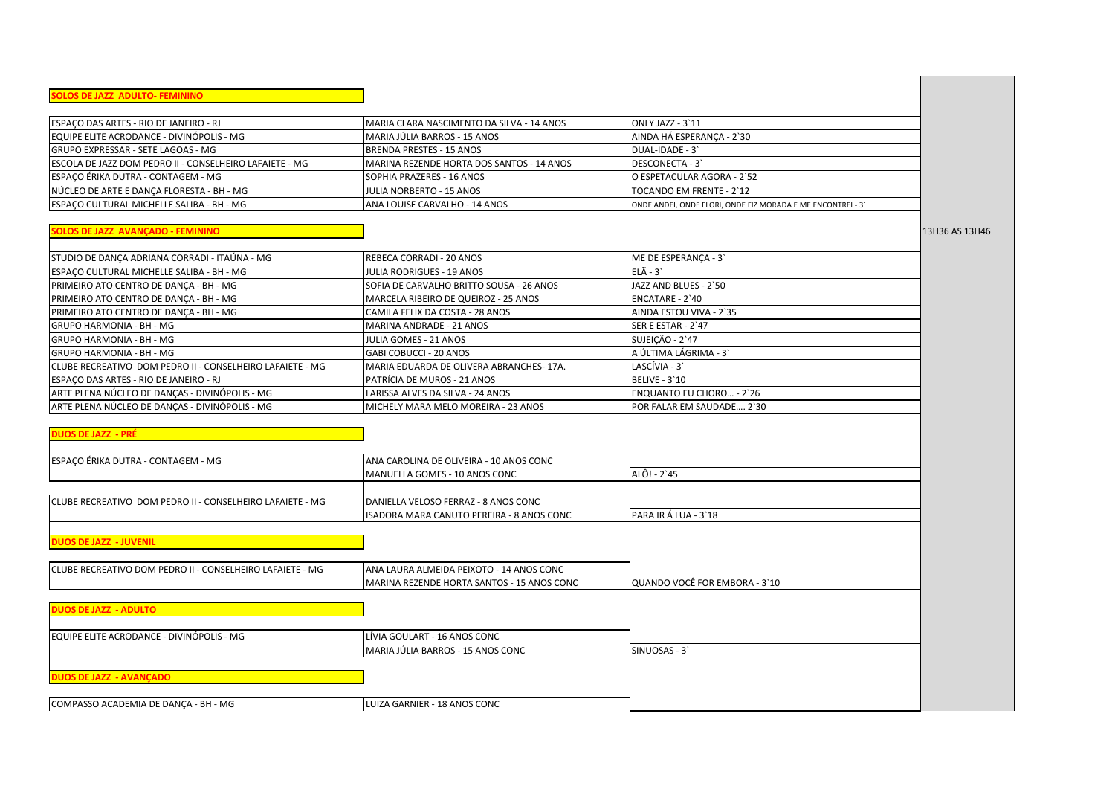| <b>OLOS DE JAZZ ADULTO- FEMININO</b>                      |                                            |                                                             |                |
|-----------------------------------------------------------|--------------------------------------------|-------------------------------------------------------------|----------------|
|                                                           |                                            |                                                             |                |
| ESPACO DAS ARTES - RIO DE JANEIRO - RJ                    | MARIA CLARA NASCIMENTO DA SILVA - 14 ANOS  | ONLY JAZZ - 3`11                                            |                |
| EQUIPE ELITE ACRODANCE - DIVINÓPOLIS - MG                 | MARIA JÚLIA BARROS - 15 ANOS               | AINDA HÁ ESPERANÇA - 2`30                                   |                |
| GRUPO EXPRESSAR - SETE LAGOAS - MG                        | <b>BRENDA PRESTES - 15 ANOS</b>            | DUAL-IDADE - 3'                                             |                |
| ESCOLA DE JAZZ DOM PEDRO II - CONSELHEIRO LAFAIETE - MG   | MARINA REZENDE HORTA DOS SANTOS - 14 ANOS  | DESCONECTA - 3                                              |                |
| ESPAÇO ÉRIKA DUTRA - CONTAGEM - MG                        | SOPHIA PRAZERES - 16 ANOS                  | O ESPETACULAR AGORA - 2`52                                  |                |
| NÚCLEO DE ARTE E DANCA FLORESTA - BH - MG                 | JULIA NORBERTO - 15 ANOS                   | TOCANDO EM FRENTE - 2'12                                    |                |
| ESPAÇO CULTURAL MICHELLE SALIBA - BH - MG                 | ANA LOUISE CARVALHO - 14 ANOS              | ONDE ANDEI, ONDE FLORI, ONDE FIZ MORADA E ME ENCONTREI - 3' |                |
| <b>OLOS DE JAZZ AVANÇADO - FEMININO</b>                   |                                            |                                                             | 13H36 AS 13H46 |
| STUDIO DE DANÇA ADRIANA CORRADI - ITAÚNA - MG             | REBECA CORRADI - 20 ANOS                   | ME DE ESPERANÇA - 3                                         |                |
| ESPAÇO CULTURAL MICHELLE SALIBA - BH - MG                 | <b>JULIA RODRIGUES - 19 ANOS</b>           | $EL\tilde{A} - 3$                                           |                |
| PRIMEIRO ATO CENTRO DE DANÇA - BH - MG                    | SOFIA DE CARVALHO BRITTO SOUSA - 26 ANOS   | JAZZ AND BLUES - 2`50                                       |                |
| PRIMEIRO ATO CENTRO DE DANÇA - BH - MG                    | MARCELA RIBEIRO DE QUEIROZ - 25 ANOS       | ENCATARE - 2`40                                             |                |
| PRIMEIRO ATO CENTRO DE DANÇA - BH - MG                    | CAMILA FELIX DA COSTA - 28 ANOS            | AINDA ESTOU VIVA - 2`35                                     |                |
| GRUPO HARMONIA - BH - MG                                  | MARINA ANDRADE - 21 ANOS                   | SER E ESTAR - 2`47                                          |                |
| <b>GRUPO HARMONIA - BH - MG</b>                           | JULIA GOMES - 21 ANOS                      | SUJEIÇÃO - 2`47                                             |                |
| GRUPO HARMONIA - BH - MG                                  | GABI COBUCCI - 20 ANOS                     | A ÚLTIMA LÁGRIMA - 3                                        |                |
| CLUBE RECREATIVO DOM PEDRO II - CONSELHEIRO LAFAIETE - MG | MARIA EDUARDA DE OLIVERA ABRANCHES-17A.    | LASCÍVIA - 3`                                               |                |
| ESPACO DAS ARTES - RIO DE JANEIRO - RJ                    | PATRÍCIA DE MUROS - 21 ANOS                | <b>BELIVE - 3'10</b>                                        |                |
| ARTE PLENA NÚCLEO DE DANÇAS - DIVINÓPOLIS - MG            | LARISSA ALVES DA SILVA - 24 ANOS           | ENQUANTO EU CHORO - 2`26                                    |                |
| ARTE PLENA NÚCLEO DE DANÇAS - DIVINÓPOLIS - MG            | MICHELY MARA MELO MOREIRA - 23 ANOS        | POR FALAR EM SAUDADE 2`30                                   |                |
| DUOS DE JAZZ  - PRÉ                                       |                                            |                                                             |                |
| ESPACO ÉRIKA DUTRA - CONTAGEM - MG                        | ANA CAROLINA DE OLIVEIRA - 10 ANOS CONC    |                                                             |                |
|                                                           | MANUELLA GOMES - 10 ANOS CONC              | ALÔ! - 2`45                                                 |                |
|                                                           |                                            |                                                             |                |
| CLUBE RECREATIVO DOM PEDRO II - CONSELHEIRO LAFAIETE - MG | DANIELLA VELOSO FERRAZ - 8 ANOS CONC       |                                                             |                |
|                                                           | ISADORA MARA CANUTO PEREIRA - 8 ANOS CONC  | PARA IR Á LUA - 3'18                                        |                |
| <b>DUOS DE JAZZ - JUVENIL</b>                             |                                            |                                                             |                |
| CLUBE RECREATIVO DOM PEDRO II - CONSELHEIRO LAFAIETE - MG | ANA LAURA ALMEIDA PEIXOTO - 14 ANOS CONC   |                                                             |                |
|                                                           | MARINA REZENDE HORTA SANTOS - 15 ANOS CONC | QUANDO VOCÊ FOR EMBORA - 3`10                               |                |
| <b>DUOS DE JAZZ - ADULTO</b>                              |                                            |                                                             |                |
| EQUIPE ELITE ACRODANCE - DIVINÓPOLIS - MG                 | LÍVIA GOULART - 16 ANOS CONC               |                                                             |                |
|                                                           | MARIA JÚLIA BARROS - 15 ANOS CONC          | SINUOSAS - 3                                                |                |
| <b>DUOS DE JAZZ - AVANÇADO</b>                            |                                            |                                                             |                |
| COMPASSO ACADEMIA DE DANCA - BH - MG                      | LUIZA GARNIER - 18 ANOS CONC               |                                                             |                |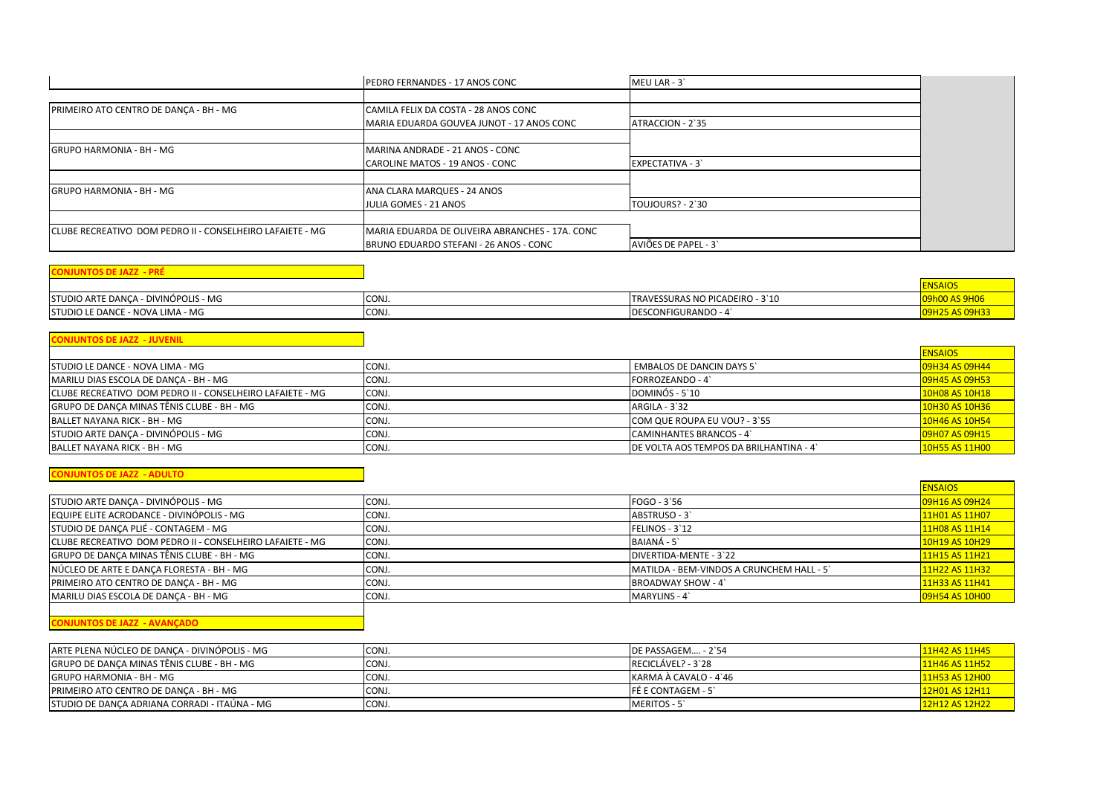|                                                            | PEDRO FERNANDES - 17 ANOS CONC                  | MEU LAR - 3             |  |
|------------------------------------------------------------|-------------------------------------------------|-------------------------|--|
|                                                            |                                                 |                         |  |
| PRIMEIRO ATO CENTRO DE DANÇA - BH - MG                     | CAMILA FELIX DA COSTA - 28 ANOS CONC            |                         |  |
|                                                            | MARIA EDUARDA GOUVEA JUNOT - 17 ANOS CONC       | ATRACCION - 2`35        |  |
|                                                            |                                                 |                         |  |
| <b>GRUPO HARMONIA - BH - MG</b>                            | MARINA ANDRADE - 21 ANOS - CONC                 |                         |  |
|                                                            | CAROLINE MATOS - 19 ANOS - CONC                 | <b>EXPECTATIVA - 3'</b> |  |
| <b>GRUPO HARMONIA - BH - MG</b>                            | <b>JANA CLARA MARQUES - 24 ANOS</b>             |                         |  |
|                                                            |                                                 |                         |  |
|                                                            | JULIA GOMES - 21 ANOS                           | TOUJOURS? - 2`30        |  |
| ICLUBE RECREATIVO DOM PEDRO II - CONSELHEIRO LAFAIETE - MG | MARIA EDUARDA DE OLIVEIRA ABRANCHES - 17A. CONC |                         |  |
|                                                            | BRUNO EDUARDO STEFANI - 26 ANOS - CONC          | AVIÕES DE PAPEL - 3     |  |

|                                      |       |                                 | ENSAIOS               |
|--------------------------------------|-------|---------------------------------|-----------------------|
| STUDIO ARTE DANCA - DIVINÓPOLIS - MG | CONJ  | TRAVESSURAS NO PICADEIRO - 3`10 | <b>MOO AS 9HOP</b>    |
| STUDIO LE DANCE - NOVA LIMA - MG     | CONJ. | <b>IDESCONFIGURANDO - 4</b>     | <b>09H25 AS 09H33</b> |

| <b>CONJUNTOS DE JAZZ - JUVENIL</b>                         |       |                                        |                |
|------------------------------------------------------------|-------|----------------------------------------|----------------|
|                                                            |       |                                        | <b>ENSAIOS</b> |
| <b>STUDIO LE DANCE - NOVA LIMA - MG</b>                    | CONJ. | <b>EMBALOS DE DANCIN DAYS 5'</b>       | 09H34 AS 09H44 |
| MARILU DIAS ESCOLA DE DANÇA - BH - MG                      | CONJ. | FORROZEANDO - 4                        | 09H45 AS 09H53 |
| ICLUBE RECREATIVO DOM PEDRO II - CONSELHEIRO LAFAIETE - MG | CONJ. | DOMINÓS - 5'10                         | 10H08 AS 10H18 |
| GRUPO DE DANÇA MINAS TÊNIS CLUBE - BH - MG                 | CONJ. | $ARGILA - 3'32$                        | 10H30 AS 10H36 |
| BALLET NAYANA RICK - BH - MG                               | CONJ. | COM QUE ROUPA EU VOU? - 3'55           | 10H46 AS 10H54 |
| STUDIO ARTE DANCA - DIVINÓPOLIS - MG                       | CONJ. | CAMINHANTES BRANCOS - 4                | 09H07 AS 09H15 |
| BALLET NAYANA RICK - BH - MG                               | CONJ. | DE VOLTA AOS TEMPOS DA BRILHANTINA - 4 | 10H55 AS 11H00 |

#### **CONJUNTOS DE JAZZ - ADULTO**

|                                                            |       |                                           | <b>ENSAIOS</b>        |
|------------------------------------------------------------|-------|-------------------------------------------|-----------------------|
| STUDIO ARTE DANCA - DIVINÓPOLIS - MG                       | CONJ. | FOGO - 3`56                               | 09H16 AS 09H24        |
| EQUIPE ELITE ACRODANCE - DIVINÓPOLIS - MG                  | CONJ. | ABSTRUSO - 3                              | 11H01 AS 11H07        |
| STUDIO DE DANCA PLIÉ - CONTAGEM - MG                       | CONJ. | FELINOS - 3'12                            | 11H08 AS 11H14        |
| ICLUBE RECREATIVO DOM PEDRO II - CONSELHEIRO LAFAIETE - MG | CONJ. | BAIANÁ - 5                                | 10H19 AS 10H29        |
| GRUPO DE DANÇA MINAS TÊNIS CLUBE - BH - MG                 | CONJ. | DIVERTIDA-MENTE - 3`22                    | 11H15 AS 11H21        |
| NÚCLEO DE ARTE E DANCA FLORESTA - BH - MG                  | CONJ. | MATILDA - BEM-VINDOS A CRUNCHEM HALL - 5' | 11H22 AS 11H32        |
| PRIMEIRO ATO CENTRO DE DANÇA - BH - MG                     | CONJ. | <b>BROADWAY SHOW - 4</b>                  | 11H33 AS 11H41        |
| MARILU DIAS ESCOLA DE DANÇA - BH - MG                      | CONJ. | MARYLINS - 4                              | <b>09H54 AS 10H00</b> |
|                                                            |       |                                           |                       |

#### **CONJUNTOS DE JAZZ - AVANÇADO**

| IARTE PLENA NÚCLEO DE DANCA - DIVINÓPOLIS - MG | CONJ. | DE PASSAGEM - 2`54    | 11H42 AS 11H45 |
|------------------------------------------------|-------|-----------------------|----------------|
| IGRUPO DE DANCA MINAS TÊNIS CLUBE - BH - MG    | CONJ. | RECICLÁVEL? - 3`28    | 11H46 AS 11H52 |
| IGRUPO HARMONIA - BH - MG                      | CONJ. | KARMA À CAVALO - 4`46 | 11H53 AS 12H00 |
| <b>PRIMEIRO ATO CENTRO DE DANCA - BH - MG</b>  | CONJ. | IFÉ E CONTAGEM - 5    | 12H01 AS 12H11 |
| ISTUDIO DE DANCA ADRIANA CORRADI - ITAÚNA - MG | CONJ. | MERITOS - 5           | 12H12 AS 12H22 |